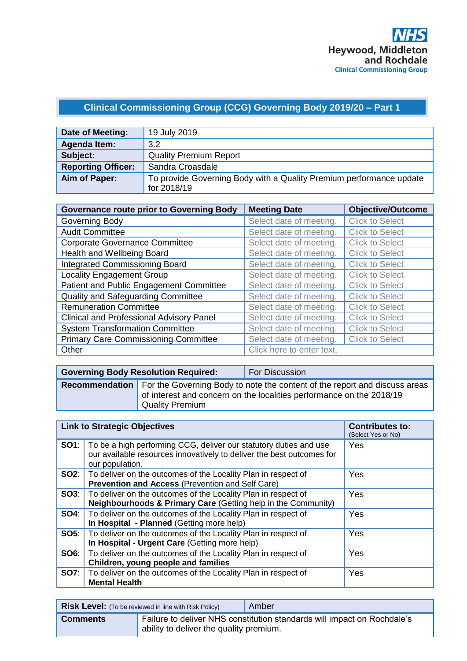# **Clinical Commissioning Group (CCG) Governing Body 2019/20 – Part 1**

| Date of Meeting:          | 19 July 2019                                                                       |
|---------------------------|------------------------------------------------------------------------------------|
| Agenda Item:              | 3.2                                                                                |
| Subject:                  | <b>Quality Premium Report</b>                                                      |
| <b>Reporting Officer:</b> | Sandra Croasdale                                                                   |
| Aim of Paper:             | To provide Governing Body with a Quality Premium performance update<br>for 2018/19 |

| <b>Governance route prior to Governing Body</b> | <b>Meeting Date</b>       | <b>Objective/Outcome</b> |
|-------------------------------------------------|---------------------------|--------------------------|
| Governing Body                                  | Select date of meeting.   | <b>Click to Select</b>   |
| <b>Audit Committee</b>                          | Select date of meeting.   | <b>Click to Select</b>   |
| <b>Corporate Governance Committee</b>           | Select date of meeting.   | <b>Click to Select</b>   |
| Health and Wellbeing Board                      | Select date of meeting.   | <b>Click to Select</b>   |
| <b>Integrated Commissioning Board</b>           | Select date of meeting.   | <b>Click to Select</b>   |
| <b>Locality Engagement Group</b>                | Select date of meeting.   | <b>Click to Select</b>   |
| Patient and Public Engagement Committee         | Select date of meeting.   | <b>Click to Select</b>   |
| Quality and Safeguarding Committee              | Select date of meeting.   | <b>Click to Select</b>   |
| <b>Remuneration Committee</b>                   | Select date of meeting.   | <b>Click to Select</b>   |
| <b>Clinical and Professional Advisory Panel</b> | Select date of meeting.   | <b>Click to Select</b>   |
| <b>System Transformation Committee</b>          | Select date of meeting.   | <b>Click to Select</b>   |
| <b>Primary Care Commissioning Committee</b>     | Select date of meeting.   | <b>Click to Select</b>   |
| Other                                           | Click here to enter text. |                          |

| <b>Governing Body Resolution Required:</b> | <b>For Discussion</b>                                                                                                                                                    |  |  |  |  |
|--------------------------------------------|--------------------------------------------------------------------------------------------------------------------------------------------------------------------------|--|--|--|--|
| Quality Premium                            | <b>Recommendation</b> For the Governing Body to note the content of the report and discuss areas<br>of interest and concern on the localities performance on the 2018/19 |  |  |  |  |

|             | <b>Link to Strategic Objectives</b>                                                                                                                           | <b>Contributes to:</b><br>(Select Yes or No) |
|-------------|---------------------------------------------------------------------------------------------------------------------------------------------------------------|----------------------------------------------|
| SO1:        | To be a high performing CCG, deliver our statutory duties and use<br>our available resources innovatively to deliver the best outcomes for<br>our population. | Yes                                          |
|             | <b>SO2:</b>   To deliver on the outcomes of the Locality Plan in respect of<br>Prevention and Access (Prevention and Self Care)                               | Yes                                          |
| SO3:        | To deliver on the outcomes of the Locality Plan in respect of<br>Neighbourhoods & Primary Care (Getting help in the Community)                                | Yes                                          |
| <b>SO4:</b> | To deliver on the outcomes of the Locality Plan in respect of<br>In Hospital - Planned (Getting more help)                                                    | Yes                                          |
| SOS:        | To deliver on the outcomes of the Locality Plan in respect of<br>In Hospital - Urgent Care (Getting more help)                                                | Yes                                          |
| <b>SO6:</b> | To deliver on the outcomes of the Locality Plan in respect of<br>Children, young people and families                                                          | Yes                                          |
| <b>SO7:</b> | To deliver on the outcomes of the Locality Plan in respect of<br><b>Mental Health</b>                                                                         | Yes                                          |

|                 | <b>Risk Level:</b> (To be reviewed in line with Risk Policy) | Amber                                                                   |
|-----------------|--------------------------------------------------------------|-------------------------------------------------------------------------|
| <b>Comments</b> | ability to deliver the quality premium.                      | Failure to deliver NHS constitution standards will impact on Rochdale's |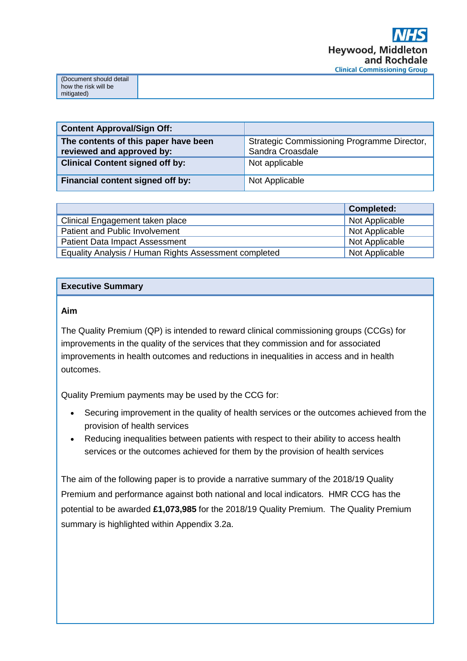| ument should detail  |  |
|----------------------|--|
|                      |  |
|                      |  |
| how the risk will be |  |
|                      |  |
|                      |  |
|                      |  |
|                      |  |

| <b>Content Approval/Sign Off:</b>                                 |                                                                 |
|-------------------------------------------------------------------|-----------------------------------------------------------------|
| The contents of this paper have been<br>reviewed and approved by: | Strategic Commissioning Programme Director,<br>Sandra Croasdale |
| <b>Clinical Content signed off by:</b>                            | Not applicable                                                  |
| Financial content signed off by:                                  | Not Applicable                                                  |

|                                                       | <b>Completed:</b> |
|-------------------------------------------------------|-------------------|
| Clinical Engagement taken place                       | Not Applicable    |
| Patient and Public Involvement                        | Not Applicable    |
| <b>Patient Data Impact Assessment</b>                 | Not Applicable    |
| Equality Analysis / Human Rights Assessment completed | Not Applicable    |

### **Executive Summary**

#### **Aim**

The Quality Premium (QP) is intended to reward clinical commissioning groups (CCGs) for improvements in the quality of the services that they commission and for associated improvements in health outcomes and reductions in inequalities in access and in health outcomes.

Quality Premium payments may be used by the CCG for:

- Securing improvement in the quality of health services or the outcomes achieved from the provision of health services
- Reducing inequalities between patients with respect to their ability to access health services or the outcomes achieved for them by the provision of health services

The aim of the following paper is to provide a narrative summary of the 2018/19 Quality Premium and performance against both national and local indicators. HMR CCG has the potential to be awarded **£1,073,985** for the 2018/19 Quality Premium. The Quality Premium summary is highlighted within Appendix 3.2a.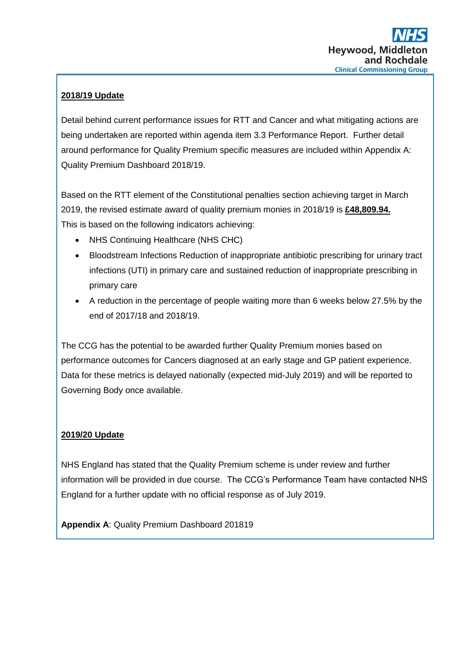### **2018/19 Update**

Detail behind current performance issues for RTT and Cancer and what mitigating actions are being undertaken are reported within agenda item 3.3 Performance Report. Further detail around performance for Quality Premium specific measures are included within Appendix A: Quality Premium Dashboard 2018/19.

Based on the RTT element of the Constitutional penalties section achieving target in March 2019, the revised estimate award of quality premium monies in 2018/19 is **£48,809.94.** This is based on the following indicators achieving:

- NHS Continuing Healthcare (NHS CHC)
- Bloodstream Infections Reduction of inappropriate antibiotic prescribing for urinary tract infections (UTI) in primary care and sustained reduction of inappropriate prescribing in primary care
- A reduction in the percentage of people waiting more than 6 weeks below 27.5% by the end of 2017/18 and 2018/19.

The CCG has the potential to be awarded further Quality Premium monies based on performance outcomes for Cancers diagnosed at an early stage and GP patient experience. Data for these metrics is delayed nationally (expected mid-July 2019) and will be reported to Governing Body once available.

### **2019/20 Update**

NHS England has stated that the Quality Premium scheme is under review and further information will be provided in due course. The CCG's Performance Team have contacted NHS England for a further update with no official response as of July 2019.

**Appendix A**: Quality Premium Dashboard 201819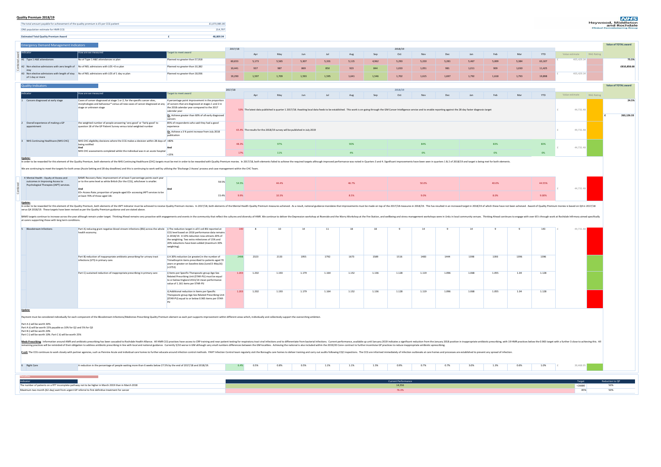| <b>Estimated Total Quality Premium Award</b>                                          | 48.809.94     |
|---------------------------------------------------------------------------------------|---------------|
|                                                                                       |               |
|                                                                                       |               |
| ONS population estimate for HMR CCG                                                   | 214.797       |
|                                                                                       |               |
| The total amount payable for achievement of the quality premium is £5 per CCG patient | £1,073,985.00 |
|                                                                                       |               |

# publication NHS CHC eligibility decisions where the CCG makes a decision within 28 days of  $\mid$ >80% **And**  $|$  < 15% **And being notified** NHS Continuing Healthcare (NHS CHC) 3 **NHS CHC** assessments completed whilst the individual was in an acute hospital  $\Big|$

| Target to meet award<br>How are we measured<br>Feb<br>YTD<br>Oct<br>Dec<br>Mar<br>Jan<br>May<br>Aug<br>Sep<br>Nov<br>Value estimate<br>RAG Rating<br>Apr<br>Jun<br>No of Type 1 A&E attendances vs plan<br>Planned no greater than 57,918<br>405,429.34<br>60,653<br>5,173<br>5,009<br>5,384<br>63,107<br>5,565<br>5,307<br>5,220<br>5,281<br>5,467<br>5,331<br>5,115<br>4,962<br>5,293<br>A2 Non elective admissions with zero length of No of NEL admissions with LOS = 0 vs plan<br>Planned no greater than 10,382<br>1,030<br>10,441<br>937<br>909<br>11,425<br>987<br>869<br>850<br>923<br>844<br>1,033<br>1,051<br>981<br>1,011<br>A3 Non elective admissions with length of stay No of NEL admissions with LOS of 1 day vs plan<br>405,429.34<br>Planned no greater than 18,936<br>1,793<br>1,597<br>1,709<br>1,593<br>1,595<br>1,792<br>19,898<br>19,290<br>1,641<br>1,546<br>1,702<br>1,615<br>1,697<br>1,618<br>of 1 day or more<br><b>Quality Indicators</b><br>2017/18<br>2018/19<br>Indicator<br>arget to meet award<br>How are we measured<br>YTD<br>Feb<br>Oct<br>Dec<br>Mar<br>RAG Rating<br>May<br>Sep<br>Jan<br>Value estimate<br>Apr<br>Aug<br>Nov<br>Jun<br>Cancers diagnosed at early stage<br>Cases of cancer diagnosed at stage 1 or 2, for the specific cancer sites,<br>4 percentage point improvement in the proportion<br>morphologies and behaviour* versus all new cases of cancer diagnosed at any<br>of cancers that are diagnosed at stages 1 and 2 in<br>stage or unknown stage<br>the 2018 calendar year compared to the 2017<br>53% The latest data published is quarter 1 2017/18. Awaiting local data feeds to be established. This work is on-going through the GM Cancer Intelligence service and to enable reporting against the 28 day faster diagnosis<br>44,731.48<br>calendar year<br>Or, Achieve greater than 60% of all early diagnosed<br>cancers<br>Overall experience of making a GP<br>the weighted number of people answering 'very good' or 'fairly good' to<br>85% of respondents who said they had a good<br>question 18 of the GP Patient Survey versus total weighted number<br>experience<br>44,731.48<br>65.4% The results for the 2018/19 survey will be published in July 2019<br>Or, Achieve a 3 % point increase from July 2018<br>publication<br>NHS CHC eligibility decisions where the CCG makes a decision within 28 days of >80%<br>97%<br>83%<br>83%<br>48.3%<br>90%<br>84%<br>being notified<br>And<br>And<br>44,731.48<br>NHS CHC assessments completed whilst the individual was in an acute hospital<br>$0\%$<br>17%<br>11%<br>4%<br>0%<br>$0\%$<br>$ $ < 15%<br>In order to be rewarded for this element of the Quality Premium, both elements of the NHS Continuing Healthcare (CHC) targets must be met in order to be rewarded with Quality Premium monies. In 2017/18, both elements of an<br>We are continuing to meet the targets for both areas (Acute Setting and 28 day deadlines) and this is continuing to work well by utilising the 'Discharge 2 Assess' process and case management within the CHC Team.<br>BAME Recovery Rate; improvement of at least 5 percentage points each year<br>or to the same level as white British (for the CCG), whichever is smaller.<br>59.5%<br>54.5%<br>50.0%<br>40.0%<br>44.4%<br>46.7%<br>44.55%<br>Psychological Therapies (IAPT) services.<br>44,731.48<br>And<br>And<br>65+ Access Rate; proportion of people aged 65+ accessing IAPT services to be<br>10.3%<br>8.0%<br>8.5%<br>9.0%<br>9.00%<br>9.9%<br>15.4%<br>at least 70% of those aged 18+<br>Update:<br>In order to be rewarded for this element of the Quality Premium, both elements of the IAPT indicator must be achieved to receive Quality Premium monies. In 2017/18, both elements of the Mental Health Quality Premium monies<br>verus Q4 2018/19. These targets have been revised as per the Quality Premium guidance and are stated above.<br>BAME targets continue to increase across the year although remain under target. Thinking Ahead remain under target. Thinking Ahead remains very proactive with engagements and events in the community that reflect the cultur<br>at carers supporting those with long term conditions.<br>Part A) reducing gram negative blood stream infections (BSI) across the whole $\frac{1}{2}$ i) The reduction target in all E coli BSI reported at<br>143<br>44,731.48<br>10<br>health economy<br>CCG level based on 2016 performance data remains<br>in 2018/19. A 10% reduction now attracts 20% of<br>the weighting. Two extra milestones of 15% and<br>20% reductions have been added (maximum 30%<br>weighting).<br>2323<br>1396<br>Part B) reduction of inappropriate antibiotic prescribing for urinary tract<br>2498<br>2133<br>1955<br>1792<br>1398<br>1393<br>1396<br>i) A 30% reduction (or greater) in the number of<br>1673<br>1589<br>1516<br>1483<br>1444<br>infections (UTI) in primary care.<br>Trimethoprim items prescribed to patients aged 70<br>years or greater on baseline data (June15-May16)<br>$( \times 3753)$<br>1.128<br>1.202<br>1.193<br>1.179<br>1.096<br>1.068<br>1.055<br>1.04<br>Part C) sustained reduction of inappropriate prescribing in primary care<br>1.203<br>1.164<br>1.152<br>1.136<br>1.128<br>1.119<br>i) Items per Specific Therapeutic group Age-Sex<br>Related Prescribing Unit (STAR-PU) must be equal<br>to or below England 2013/14 mean performance<br>value of 1.161 items per STAR-PU<br>1.202<br>1.068<br>1.04<br>1.128<br>1.193<br>1.179<br>1.164<br>1.152<br>1.136<br>1.128<br>1.096<br>1.055<br>ii) Additional reduction in Items per Specific<br>1.119<br>1.203<br>Therapeutic group Age-Sex Related Prescribing Unit<br>(STAR-PU) equal to or below 0.965 items per STAR-<br>Payment must be considered individually for each component of the Bloodstream Infections/Medicines Prescribing Quality Premium element as each part supports improvement within different areas which, individually and collec<br>Part A ii) will be worth 15% payable as 10% for Q2 and 5% for Q3<br>Part C i) will be worth 10%. Part C ii) will be worth 25%<br>Meds Prescribing: Information around AMR and antibiotic prescribing has been cascaded to Rochdale Health Alliance. All HMR CCG practices have access to CRP training and near patient testing for respiratory tract viral infe<br>Ine with local and hational guargeties. Antibiotic prescribing in line with local and national guidance. Currently 5/10 worse in GM although very small numbers differences between the GM localities. Achieving the national<br>E CO continues to work closely with partner agencies, such as Pennine Acute and individual care homes to further educate around infection control methods. PAHT Infection S. The CCG are informed immediately of infection out<br>A reduction in the percentage of people waiting more than 6 weeks below 27.5% by the end of 2017/18 and 2018/19.<br>0.5%<br>$0.6\%$<br>39,468.95<br>$0.8\%$<br>1.1%<br>1.1%<br>1.5%<br>3.0%<br>1.3%<br>1.0%<br>0.5%<br>0.9%<br>0.7%<br>0.7%<br>6.4%<br><b>Current Performance</b><br>Reduction to QP<br>Target<br>he number of patients on a RTT incomplete pathway not to be higher in March 2019 than in March 2018<br>14,556<br>50%<br>$16680$<br>76.3%<br>Maximum two month (62-day) wait from urgent GP referral to first definitive treatment for cancer<br>50%<br>85% | Indicator                                                                   | <b>Emergency Demand Management Indicators</b> |         |  |  |  |         |  |  |  |  | <b>Value of TOTAL award</b> |
|------------------------------------------------------------------------------------------------------------------------------------------------------------------------------------------------------------------------------------------------------------------------------------------------------------------------------------------------------------------------------------------------------------------------------------------------------------------------------------------------------------------------------------------------------------------------------------------------------------------------------------------------------------------------------------------------------------------------------------------------------------------------------------------------------------------------------------------------------------------------------------------------------------------------------------------------------------------------------------------------------------------------------------------------------------------------------------------------------------------------------------------------------------------------------------------------------------------------------------------------------------------------------------------------------------------------------------------------------------------------------------------------------------------------------------------------------------------------------------------------------------------------------------------------------------------------------------------------------------------------------------------------------------------------------------------------------------------------------------------------------------------------------------------------------------------------------------------------------------------------------------------------------------------------------------------------------------------------------------------------------------------------------------------------------------------------------------------------------------------------------------------------------------------------------------------------------------------------------------------------------------------------------------------------------------------------------------------------------------------------------------------------------------------------------------------------------------------------------------------------------------------------------------------------------------------------------------------------------------------------------------------------------------------------------------------------------------------------------------------------------------------------------------------------------------------------------------------------------------------------------------------------------------------------------------------------------------------------------------------------------------------------------------------------------------------------------------------------------------------------------------------------------------------------------------------------------------------------------------------------------------------------------------------------------------------------------------------------------------------------------------------------------------------------------------------------------------------------------------------------------------------------------------------------------------------------------------------------------------------------------------------------------------------------------------------------------------------------------------------------------------------------------------------------------------------------------------------------------------------------------------------------------------------------------------------------------------------------------------------------------------------------------------------------------------------------------------------------------------------------------------------------------------------------------------------------------------------------------------------------------------------------------------------------------------------------------------------------------------------------------------------------------------------------------------------------------------------------------------------------------------------------------------------------------------------------------------------------------------------------------------------------------------------------------------------------------------------------------------------------------------------------------------------------------------------------------------------------------------------------------------------------------------------------------------------------------------------------------------------------------------------------------------------------------------------------------------------------------------------------------------------------------------------------------------------------------------------------------------------------------------------------------------------------------------------------------------------------------------------------------------------------------------------------------------------------------------------------------------------------------------------------------------------------------------------------------------------------------------------------------------------------------------------------------------------------------------------------------------------------------------------------------------------------------------------------------------------------------------------------------------------------------------------------------------------------------------------------------------------------------------------------------------------------------------------------------------------------------------------------------------------------------------------------------------------------------------------------------------------------------------------------------------------------------------------------------------------------------------------------------------------------------------------------------------------------------------------------------------------------------------------------------------------------------------------------------------------------------------------------------------------------------------------------------------------------------------------------------------------------------------------------------------------------------------------------------------------------------------------------------------------------------------------------------------------------------------------------------------------------------------------------------------------------------------------------------------------------------------------------------------------------------------------------------------------------------------------------------------------------------------------------------------------------------------------------------------------------------------------------------------------------------------------------------------------|-----------------------------------------------------------------------------|-----------------------------------------------|---------|--|--|--|---------|--|--|--|--|-----------------------------|
|                                                                                                                                                                                                                                                                                                                                                                                                                                                                                                                                                                                                                                                                                                                                                                                                                                                                                                                                                                                                                                                                                                                                                                                                                                                                                                                                                                                                                                                                                                                                                                                                                                                                                                                                                                                                                                                                                                                                                                                                                                                                                                                                                                                                                                                                                                                                                                                                                                                                                                                                                                                                                                                                                                                                                                                                                                                                                                                                                                                                                                                                                                                                                                                                                                                                                                                                                                                                                                                                                                                                                                                                                                                                                                                                                                                                                                                                                                                                                                                                                                                                                                                                                                                                                                                                                                                                                                                                                                                                                                                                                                                                                                                                                                                                                                                                                                                                                                                                                                                                                                                                                                                                                                                                                                                                                                                                                                                                                                                                                                                                                                                                                                                                                                                                                                                                                                                                                                                                                                                                                                                                                                                                                                                                                                                                                                                                                                                                                                                                                                                                                                                                                                                                                                                                                                                                                                                                                                                                                                                                                                                                                                                                                                                                                                                                                                                                                                                                                                          |                                                                             |                                               | 2017/18 |  |  |  | 2018/19 |  |  |  |  |                             |
|                                                                                                                                                                                                                                                                                                                                                                                                                                                                                                                                                                                                                                                                                                                                                                                                                                                                                                                                                                                                                                                                                                                                                                                                                                                                                                                                                                                                                                                                                                                                                                                                                                                                                                                                                                                                                                                                                                                                                                                                                                                                                                                                                                                                                                                                                                                                                                                                                                                                                                                                                                                                                                                                                                                                                                                                                                                                                                                                                                                                                                                                                                                                                                                                                                                                                                                                                                                                                                                                                                                                                                                                                                                                                                                                                                                                                                                                                                                                                                                                                                                                                                                                                                                                                                                                                                                                                                                                                                                                                                                                                                                                                                                                                                                                                                                                                                                                                                                                                                                                                                                                                                                                                                                                                                                                                                                                                                                                                                                                                                                                                                                                                                                                                                                                                                                                                                                                                                                                                                                                                                                                                                                                                                                                                                                                                                                                                                                                                                                                                                                                                                                                                                                                                                                                                                                                                                                                                                                                                                                                                                                                                                                                                                                                                                                                                                                                                                                                                                          | A1 Type 1 A&E attendances                                                   |                                               |         |  |  |  |         |  |  |  |  | 75.5%                       |
|                                                                                                                                                                                                                                                                                                                                                                                                                                                                                                                                                                                                                                                                                                                                                                                                                                                                                                                                                                                                                                                                                                                                                                                                                                                                                                                                                                                                                                                                                                                                                                                                                                                                                                                                                                                                                                                                                                                                                                                                                                                                                                                                                                                                                                                                                                                                                                                                                                                                                                                                                                                                                                                                                                                                                                                                                                                                                                                                                                                                                                                                                                                                                                                                                                                                                                                                                                                                                                                                                                                                                                                                                                                                                                                                                                                                                                                                                                                                                                                                                                                                                                                                                                                                                                                                                                                                                                                                                                                                                                                                                                                                                                                                                                                                                                                                                                                                                                                                                                                                                                                                                                                                                                                                                                                                                                                                                                                                                                                                                                                                                                                                                                                                                                                                                                                                                                                                                                                                                                                                                                                                                                                                                                                                                                                                                                                                                                                                                                                                                                                                                                                                                                                                                                                                                                                                                                                                                                                                                                                                                                                                                                                                                                                                                                                                                                                                                                                                                                          |                                                                             |                                               |         |  |  |  |         |  |  |  |  | £810,858.68                 |
|                                                                                                                                                                                                                                                                                                                                                                                                                                                                                                                                                                                                                                                                                                                                                                                                                                                                                                                                                                                                                                                                                                                                                                                                                                                                                                                                                                                                                                                                                                                                                                                                                                                                                                                                                                                                                                                                                                                                                                                                                                                                                                                                                                                                                                                                                                                                                                                                                                                                                                                                                                                                                                                                                                                                                                                                                                                                                                                                                                                                                                                                                                                                                                                                                                                                                                                                                                                                                                                                                                                                                                                                                                                                                                                                                                                                                                                                                                                                                                                                                                                                                                                                                                                                                                                                                                                                                                                                                                                                                                                                                                                                                                                                                                                                                                                                                                                                                                                                                                                                                                                                                                                                                                                                                                                                                                                                                                                                                                                                                                                                                                                                                                                                                                                                                                                                                                                                                                                                                                                                                                                                                                                                                                                                                                                                                                                                                                                                                                                                                                                                                                                                                                                                                                                                                                                                                                                                                                                                                                                                                                                                                                                                                                                                                                                                                                                                                                                                                                          | <b>Stay</b>                                                                 |                                               |         |  |  |  |         |  |  |  |  |                             |
|                                                                                                                                                                                                                                                                                                                                                                                                                                                                                                                                                                                                                                                                                                                                                                                                                                                                                                                                                                                                                                                                                                                                                                                                                                                                                                                                                                                                                                                                                                                                                                                                                                                                                                                                                                                                                                                                                                                                                                                                                                                                                                                                                                                                                                                                                                                                                                                                                                                                                                                                                                                                                                                                                                                                                                                                                                                                                                                                                                                                                                                                                                                                                                                                                                                                                                                                                                                                                                                                                                                                                                                                                                                                                                                                                                                                                                                                                                                                                                                                                                                                                                                                                                                                                                                                                                                                                                                                                                                                                                                                                                                                                                                                                                                                                                                                                                                                                                                                                                                                                                                                                                                                                                                                                                                                                                                                                                                                                                                                                                                                                                                                                                                                                                                                                                                                                                                                                                                                                                                                                                                                                                                                                                                                                                                                                                                                                                                                                                                                                                                                                                                                                                                                                                                                                                                                                                                                                                                                                                                                                                                                                                                                                                                                                                                                                                                                                                                                                                          |                                                                             |                                               |         |  |  |  |         |  |  |  |  | <b>Value of TOTAL award</b> |
|                                                                                                                                                                                                                                                                                                                                                                                                                                                                                                                                                                                                                                                                                                                                                                                                                                                                                                                                                                                                                                                                                                                                                                                                                                                                                                                                                                                                                                                                                                                                                                                                                                                                                                                                                                                                                                                                                                                                                                                                                                                                                                                                                                                                                                                                                                                                                                                                                                                                                                                                                                                                                                                                                                                                                                                                                                                                                                                                                                                                                                                                                                                                                                                                                                                                                                                                                                                                                                                                                                                                                                                                                                                                                                                                                                                                                                                                                                                                                                                                                                                                                                                                                                                                                                                                                                                                                                                                                                                                                                                                                                                                                                                                                                                                                                                                                                                                                                                                                                                                                                                                                                                                                                                                                                                                                                                                                                                                                                                                                                                                                                                                                                                                                                                                                                                                                                                                                                                                                                                                                                                                                                                                                                                                                                                                                                                                                                                                                                                                                                                                                                                                                                                                                                                                                                                                                                                                                                                                                                                                                                                                                                                                                                                                                                                                                                                                                                                                                                          |                                                                             |                                               |         |  |  |  |         |  |  |  |  |                             |
|                                                                                                                                                                                                                                                                                                                                                                                                                                                                                                                                                                                                                                                                                                                                                                                                                                                                                                                                                                                                                                                                                                                                                                                                                                                                                                                                                                                                                                                                                                                                                                                                                                                                                                                                                                                                                                                                                                                                                                                                                                                                                                                                                                                                                                                                                                                                                                                                                                                                                                                                                                                                                                                                                                                                                                                                                                                                                                                                                                                                                                                                                                                                                                                                                                                                                                                                                                                                                                                                                                                                                                                                                                                                                                                                                                                                                                                                                                                                                                                                                                                                                                                                                                                                                                                                                                                                                                                                                                                                                                                                                                                                                                                                                                                                                                                                                                                                                                                                                                                                                                                                                                                                                                                                                                                                                                                                                                                                                                                                                                                                                                                                                                                                                                                                                                                                                                                                                                                                                                                                                                                                                                                                                                                                                                                                                                                                                                                                                                                                                                                                                                                                                                                                                                                                                                                                                                                                                                                                                                                                                                                                                                                                                                                                                                                                                                                                                                                                                                          |                                                                             |                                               |         |  |  |  |         |  |  |  |  | 24.5%                       |
|                                                                                                                                                                                                                                                                                                                                                                                                                                                                                                                                                                                                                                                                                                                                                                                                                                                                                                                                                                                                                                                                                                                                                                                                                                                                                                                                                                                                                                                                                                                                                                                                                                                                                                                                                                                                                                                                                                                                                                                                                                                                                                                                                                                                                                                                                                                                                                                                                                                                                                                                                                                                                                                                                                                                                                                                                                                                                                                                                                                                                                                                                                                                                                                                                                                                                                                                                                                                                                                                                                                                                                                                                                                                                                                                                                                                                                                                                                                                                                                                                                                                                                                                                                                                                                                                                                                                                                                                                                                                                                                                                                                                                                                                                                                                                                                                                                                                                                                                                                                                                                                                                                                                                                                                                                                                                                                                                                                                                                                                                                                                                                                                                                                                                                                                                                                                                                                                                                                                                                                                                                                                                                                                                                                                                                                                                                                                                                                                                                                                                                                                                                                                                                                                                                                                                                                                                                                                                                                                                                                                                                                                                                                                                                                                                                                                                                                                                                                                                                          |                                                                             |                                               |         |  |  |  |         |  |  |  |  |                             |
|                                                                                                                                                                                                                                                                                                                                                                                                                                                                                                                                                                                                                                                                                                                                                                                                                                                                                                                                                                                                                                                                                                                                                                                                                                                                                                                                                                                                                                                                                                                                                                                                                                                                                                                                                                                                                                                                                                                                                                                                                                                                                                                                                                                                                                                                                                                                                                                                                                                                                                                                                                                                                                                                                                                                                                                                                                                                                                                                                                                                                                                                                                                                                                                                                                                                                                                                                                                                                                                                                                                                                                                                                                                                                                                                                                                                                                                                                                                                                                                                                                                                                                                                                                                                                                                                                                                                                                                                                                                                                                                                                                                                                                                                                                                                                                                                                                                                                                                                                                                                                                                                                                                                                                                                                                                                                                                                                                                                                                                                                                                                                                                                                                                                                                                                                                                                                                                                                                                                                                                                                                                                                                                                                                                                                                                                                                                                                                                                                                                                                                                                                                                                                                                                                                                                                                                                                                                                                                                                                                                                                                                                                                                                                                                                                                                                                                                                                                                                                                          |                                                                             |                                               |         |  |  |  |         |  |  |  |  | 263,126.33                  |
|                                                                                                                                                                                                                                                                                                                                                                                                                                                                                                                                                                                                                                                                                                                                                                                                                                                                                                                                                                                                                                                                                                                                                                                                                                                                                                                                                                                                                                                                                                                                                                                                                                                                                                                                                                                                                                                                                                                                                                                                                                                                                                                                                                                                                                                                                                                                                                                                                                                                                                                                                                                                                                                                                                                                                                                                                                                                                                                                                                                                                                                                                                                                                                                                                                                                                                                                                                                                                                                                                                                                                                                                                                                                                                                                                                                                                                                                                                                                                                                                                                                                                                                                                                                                                                                                                                                                                                                                                                                                                                                                                                                                                                                                                                                                                                                                                                                                                                                                                                                                                                                                                                                                                                                                                                                                                                                                                                                                                                                                                                                                                                                                                                                                                                                                                                                                                                                                                                                                                                                                                                                                                                                                                                                                                                                                                                                                                                                                                                                                                                                                                                                                                                                                                                                                                                                                                                                                                                                                                                                                                                                                                                                                                                                                                                                                                                                                                                                                                                          | appointment                                                                 |                                               |         |  |  |  |         |  |  |  |  |                             |
|                                                                                                                                                                                                                                                                                                                                                                                                                                                                                                                                                                                                                                                                                                                                                                                                                                                                                                                                                                                                                                                                                                                                                                                                                                                                                                                                                                                                                                                                                                                                                                                                                                                                                                                                                                                                                                                                                                                                                                                                                                                                                                                                                                                                                                                                                                                                                                                                                                                                                                                                                                                                                                                                                                                                                                                                                                                                                                                                                                                                                                                                                                                                                                                                                                                                                                                                                                                                                                                                                                                                                                                                                                                                                                                                                                                                                                                                                                                                                                                                                                                                                                                                                                                                                                                                                                                                                                                                                                                                                                                                                                                                                                                                                                                                                                                                                                                                                                                                                                                                                                                                                                                                                                                                                                                                                                                                                                                                                                                                                                                                                                                                                                                                                                                                                                                                                                                                                                                                                                                                                                                                                                                                                                                                                                                                                                                                                                                                                                                                                                                                                                                                                                                                                                                                                                                                                                                                                                                                                                                                                                                                                                                                                                                                                                                                                                                                                                                                                                          | NHS Continuing Healthcare (NHS CHC)                                         |                                               |         |  |  |  |         |  |  |  |  |                             |
|                                                                                                                                                                                                                                                                                                                                                                                                                                                                                                                                                                                                                                                                                                                                                                                                                                                                                                                                                                                                                                                                                                                                                                                                                                                                                                                                                                                                                                                                                                                                                                                                                                                                                                                                                                                                                                                                                                                                                                                                                                                                                                                                                                                                                                                                                                                                                                                                                                                                                                                                                                                                                                                                                                                                                                                                                                                                                                                                                                                                                                                                                                                                                                                                                                                                                                                                                                                                                                                                                                                                                                                                                                                                                                                                                                                                                                                                                                                                                                                                                                                                                                                                                                                                                                                                                                                                                                                                                                                                                                                                                                                                                                                                                                                                                                                                                                                                                                                                                                                                                                                                                                                                                                                                                                                                                                                                                                                                                                                                                                                                                                                                                                                                                                                                                                                                                                                                                                                                                                                                                                                                                                                                                                                                                                                                                                                                                                                                                                                                                                                                                                                                                                                                                                                                                                                                                                                                                                                                                                                                                                                                                                                                                                                                                                                                                                                                                                                                                                          |                                                                             |                                               |         |  |  |  |         |  |  |  |  |                             |
|                                                                                                                                                                                                                                                                                                                                                                                                                                                                                                                                                                                                                                                                                                                                                                                                                                                                                                                                                                                                                                                                                                                                                                                                                                                                                                                                                                                                                                                                                                                                                                                                                                                                                                                                                                                                                                                                                                                                                                                                                                                                                                                                                                                                                                                                                                                                                                                                                                                                                                                                                                                                                                                                                                                                                                                                                                                                                                                                                                                                                                                                                                                                                                                                                                                                                                                                                                                                                                                                                                                                                                                                                                                                                                                                                                                                                                                                                                                                                                                                                                                                                                                                                                                                                                                                                                                                                                                                                                                                                                                                                                                                                                                                                                                                                                                                                                                                                                                                                                                                                                                                                                                                                                                                                                                                                                                                                                                                                                                                                                                                                                                                                                                                                                                                                                                                                                                                                                                                                                                                                                                                                                                                                                                                                                                                                                                                                                                                                                                                                                                                                                                                                                                                                                                                                                                                                                                                                                                                                                                                                                                                                                                                                                                                                                                                                                                                                                                                                                          | Update:                                                                     |                                               |         |  |  |  |         |  |  |  |  |                             |
|                                                                                                                                                                                                                                                                                                                                                                                                                                                                                                                                                                                                                                                                                                                                                                                                                                                                                                                                                                                                                                                                                                                                                                                                                                                                                                                                                                                                                                                                                                                                                                                                                                                                                                                                                                                                                                                                                                                                                                                                                                                                                                                                                                                                                                                                                                                                                                                                                                                                                                                                                                                                                                                                                                                                                                                                                                                                                                                                                                                                                                                                                                                                                                                                                                                                                                                                                                                                                                                                                                                                                                                                                                                                                                                                                                                                                                                                                                                                                                                                                                                                                                                                                                                                                                                                                                                                                                                                                                                                                                                                                                                                                                                                                                                                                                                                                                                                                                                                                                                                                                                                                                                                                                                                                                                                                                                                                                                                                                                                                                                                                                                                                                                                                                                                                                                                                                                                                                                                                                                                                                                                                                                                                                                                                                                                                                                                                                                                                                                                                                                                                                                                                                                                                                                                                                                                                                                                                                                                                                                                                                                                                                                                                                                                                                                                                                                                                                                                                                          |                                                                             |                                               |         |  |  |  |         |  |  |  |  |                             |
|                                                                                                                                                                                                                                                                                                                                                                                                                                                                                                                                                                                                                                                                                                                                                                                                                                                                                                                                                                                                                                                                                                                                                                                                                                                                                                                                                                                                                                                                                                                                                                                                                                                                                                                                                                                                                                                                                                                                                                                                                                                                                                                                                                                                                                                                                                                                                                                                                                                                                                                                                                                                                                                                                                                                                                                                                                                                                                                                                                                                                                                                                                                                                                                                                                                                                                                                                                                                                                                                                                                                                                                                                                                                                                                                                                                                                                                                                                                                                                                                                                                                                                                                                                                                                                                                                                                                                                                                                                                                                                                                                                                                                                                                                                                                                                                                                                                                                                                                                                                                                                                                                                                                                                                                                                                                                                                                                                                                                                                                                                                                                                                                                                                                                                                                                                                                                                                                                                                                                                                                                                                                                                                                                                                                                                                                                                                                                                                                                                                                                                                                                                                                                                                                                                                                                                                                                                                                                                                                                                                                                                                                                                                                                                                                                                                                                                                                                                                                                                          |                                                                             |                                               |         |  |  |  |         |  |  |  |  |                             |
|                                                                                                                                                                                                                                                                                                                                                                                                                                                                                                                                                                                                                                                                                                                                                                                                                                                                                                                                                                                                                                                                                                                                                                                                                                                                                                                                                                                                                                                                                                                                                                                                                                                                                                                                                                                                                                                                                                                                                                                                                                                                                                                                                                                                                                                                                                                                                                                                                                                                                                                                                                                                                                                                                                                                                                                                                                                                                                                                                                                                                                                                                                                                                                                                                                                                                                                                                                                                                                                                                                                                                                                                                                                                                                                                                                                                                                                                                                                                                                                                                                                                                                                                                                                                                                                                                                                                                                                                                                                                                                                                                                                                                                                                                                                                                                                                                                                                                                                                                                                                                                                                                                                                                                                                                                                                                                                                                                                                                                                                                                                                                                                                                                                                                                                                                                                                                                                                                                                                                                                                                                                                                                                                                                                                                                                                                                                                                                                                                                                                                                                                                                                                                                                                                                                                                                                                                                                                                                                                                                                                                                                                                                                                                                                                                                                                                                                                                                                                                                          | 4 Mental Health - Equity of Access and<br>outcomes in Improving Access to   |                                               |         |  |  |  |         |  |  |  |  |                             |
|                                                                                                                                                                                                                                                                                                                                                                                                                                                                                                                                                                                                                                                                                                                                                                                                                                                                                                                                                                                                                                                                                                                                                                                                                                                                                                                                                                                                                                                                                                                                                                                                                                                                                                                                                                                                                                                                                                                                                                                                                                                                                                                                                                                                                                                                                                                                                                                                                                                                                                                                                                                                                                                                                                                                                                                                                                                                                                                                                                                                                                                                                                                                                                                                                                                                                                                                                                                                                                                                                                                                                                                                                                                                                                                                                                                                                                                                                                                                                                                                                                                                                                                                                                                                                                                                                                                                                                                                                                                                                                                                                                                                                                                                                                                                                                                                                                                                                                                                                                                                                                                                                                                                                                                                                                                                                                                                                                                                                                                                                                                                                                                                                                                                                                                                                                                                                                                                                                                                                                                                                                                                                                                                                                                                                                                                                                                                                                                                                                                                                                                                                                                                                                                                                                                                                                                                                                                                                                                                                                                                                                                                                                                                                                                                                                                                                                                                                                                                                                          |                                                                             |                                               |         |  |  |  |         |  |  |  |  |                             |
|                                                                                                                                                                                                                                                                                                                                                                                                                                                                                                                                                                                                                                                                                                                                                                                                                                                                                                                                                                                                                                                                                                                                                                                                                                                                                                                                                                                                                                                                                                                                                                                                                                                                                                                                                                                                                                                                                                                                                                                                                                                                                                                                                                                                                                                                                                                                                                                                                                                                                                                                                                                                                                                                                                                                                                                                                                                                                                                                                                                                                                                                                                                                                                                                                                                                                                                                                                                                                                                                                                                                                                                                                                                                                                                                                                                                                                                                                                                                                                                                                                                                                                                                                                                                                                                                                                                                                                                                                                                                                                                                                                                                                                                                                                                                                                                                                                                                                                                                                                                                                                                                                                                                                                                                                                                                                                                                                                                                                                                                                                                                                                                                                                                                                                                                                                                                                                                                                                                                                                                                                                                                                                                                                                                                                                                                                                                                                                                                                                                                                                                                                                                                                                                                                                                                                                                                                                                                                                                                                                                                                                                                                                                                                                                                                                                                                                                                                                                                                                          |                                                                             |                                               |         |  |  |  |         |  |  |  |  |                             |
|                                                                                                                                                                                                                                                                                                                                                                                                                                                                                                                                                                                                                                                                                                                                                                                                                                                                                                                                                                                                                                                                                                                                                                                                                                                                                                                                                                                                                                                                                                                                                                                                                                                                                                                                                                                                                                                                                                                                                                                                                                                                                                                                                                                                                                                                                                                                                                                                                                                                                                                                                                                                                                                                                                                                                                                                                                                                                                                                                                                                                                                                                                                                                                                                                                                                                                                                                                                                                                                                                                                                                                                                                                                                                                                                                                                                                                                                                                                                                                                                                                                                                                                                                                                                                                                                                                                                                                                                                                                                                                                                                                                                                                                                                                                                                                                                                                                                                                                                                                                                                                                                                                                                                                                                                                                                                                                                                                                                                                                                                                                                                                                                                                                                                                                                                                                                                                                                                                                                                                                                                                                                                                                                                                                                                                                                                                                                                                                                                                                                                                                                                                                                                                                                                                                                                                                                                                                                                                                                                                                                                                                                                                                                                                                                                                                                                                                                                                                                                                          | <b>Bloodstream Infections</b>                                               |                                               |         |  |  |  |         |  |  |  |  |                             |
|                                                                                                                                                                                                                                                                                                                                                                                                                                                                                                                                                                                                                                                                                                                                                                                                                                                                                                                                                                                                                                                                                                                                                                                                                                                                                                                                                                                                                                                                                                                                                                                                                                                                                                                                                                                                                                                                                                                                                                                                                                                                                                                                                                                                                                                                                                                                                                                                                                                                                                                                                                                                                                                                                                                                                                                                                                                                                                                                                                                                                                                                                                                                                                                                                                                                                                                                                                                                                                                                                                                                                                                                                                                                                                                                                                                                                                                                                                                                                                                                                                                                                                                                                                                                                                                                                                                                                                                                                                                                                                                                                                                                                                                                                                                                                                                                                                                                                                                                                                                                                                                                                                                                                                                                                                                                                                                                                                                                                                                                                                                                                                                                                                                                                                                                                                                                                                                                                                                                                                                                                                                                                                                                                                                                                                                                                                                                                                                                                                                                                                                                                                                                                                                                                                                                                                                                                                                                                                                                                                                                                                                                                                                                                                                                                                                                                                                                                                                                                                          |                                                                             |                                               |         |  |  |  |         |  |  |  |  |                             |
|                                                                                                                                                                                                                                                                                                                                                                                                                                                                                                                                                                                                                                                                                                                                                                                                                                                                                                                                                                                                                                                                                                                                                                                                                                                                                                                                                                                                                                                                                                                                                                                                                                                                                                                                                                                                                                                                                                                                                                                                                                                                                                                                                                                                                                                                                                                                                                                                                                                                                                                                                                                                                                                                                                                                                                                                                                                                                                                                                                                                                                                                                                                                                                                                                                                                                                                                                                                                                                                                                                                                                                                                                                                                                                                                                                                                                                                                                                                                                                                                                                                                                                                                                                                                                                                                                                                                                                                                                                                                                                                                                                                                                                                                                                                                                                                                                                                                                                                                                                                                                                                                                                                                                                                                                                                                                                                                                                                                                                                                                                                                                                                                                                                                                                                                                                                                                                                                                                                                                                                                                                                                                                                                                                                                                                                                                                                                                                                                                                                                                                                                                                                                                                                                                                                                                                                                                                                                                                                                                                                                                                                                                                                                                                                                                                                                                                                                                                                                                                          |                                                                             |                                               |         |  |  |  |         |  |  |  |  |                             |
|                                                                                                                                                                                                                                                                                                                                                                                                                                                                                                                                                                                                                                                                                                                                                                                                                                                                                                                                                                                                                                                                                                                                                                                                                                                                                                                                                                                                                                                                                                                                                                                                                                                                                                                                                                                                                                                                                                                                                                                                                                                                                                                                                                                                                                                                                                                                                                                                                                                                                                                                                                                                                                                                                                                                                                                                                                                                                                                                                                                                                                                                                                                                                                                                                                                                                                                                                                                                                                                                                                                                                                                                                                                                                                                                                                                                                                                                                                                                                                                                                                                                                                                                                                                                                                                                                                                                                                                                                                                                                                                                                                                                                                                                                                                                                                                                                                                                                                                                                                                                                                                                                                                                                                                                                                                                                                                                                                                                                                                                                                                                                                                                                                                                                                                                                                                                                                                                                                                                                                                                                                                                                                                                                                                                                                                                                                                                                                                                                                                                                                                                                                                                                                                                                                                                                                                                                                                                                                                                                                                                                                                                                                                                                                                                                                                                                                                                                                                                                                          |                                                                             |                                               |         |  |  |  |         |  |  |  |  |                             |
|                                                                                                                                                                                                                                                                                                                                                                                                                                                                                                                                                                                                                                                                                                                                                                                                                                                                                                                                                                                                                                                                                                                                                                                                                                                                                                                                                                                                                                                                                                                                                                                                                                                                                                                                                                                                                                                                                                                                                                                                                                                                                                                                                                                                                                                                                                                                                                                                                                                                                                                                                                                                                                                                                                                                                                                                                                                                                                                                                                                                                                                                                                                                                                                                                                                                                                                                                                                                                                                                                                                                                                                                                                                                                                                                                                                                                                                                                                                                                                                                                                                                                                                                                                                                                                                                                                                                                                                                                                                                                                                                                                                                                                                                                                                                                                                                                                                                                                                                                                                                                                                                                                                                                                                                                                                                                                                                                                                                                                                                                                                                                                                                                                                                                                                                                                                                                                                                                                                                                                                                                                                                                                                                                                                                                                                                                                                                                                                                                                                                                                                                                                                                                                                                                                                                                                                                                                                                                                                                                                                                                                                                                                                                                                                                                                                                                                                                                                                                                                          |                                                                             |                                               |         |  |  |  |         |  |  |  |  |                             |
|                                                                                                                                                                                                                                                                                                                                                                                                                                                                                                                                                                                                                                                                                                                                                                                                                                                                                                                                                                                                                                                                                                                                                                                                                                                                                                                                                                                                                                                                                                                                                                                                                                                                                                                                                                                                                                                                                                                                                                                                                                                                                                                                                                                                                                                                                                                                                                                                                                                                                                                                                                                                                                                                                                                                                                                                                                                                                                                                                                                                                                                                                                                                                                                                                                                                                                                                                                                                                                                                                                                                                                                                                                                                                                                                                                                                                                                                                                                                                                                                                                                                                                                                                                                                                                                                                                                                                                                                                                                                                                                                                                                                                                                                                                                                                                                                                                                                                                                                                                                                                                                                                                                                                                                                                                                                                                                                                                                                                                                                                                                                                                                                                                                                                                                                                                                                                                                                                                                                                                                                                                                                                                                                                                                                                                                                                                                                                                                                                                                                                                                                                                                                                                                                                                                                                                                                                                                                                                                                                                                                                                                                                                                                                                                                                                                                                                                                                                                                                                          |                                                                             |                                               |         |  |  |  |         |  |  |  |  |                             |
|                                                                                                                                                                                                                                                                                                                                                                                                                                                                                                                                                                                                                                                                                                                                                                                                                                                                                                                                                                                                                                                                                                                                                                                                                                                                                                                                                                                                                                                                                                                                                                                                                                                                                                                                                                                                                                                                                                                                                                                                                                                                                                                                                                                                                                                                                                                                                                                                                                                                                                                                                                                                                                                                                                                                                                                                                                                                                                                                                                                                                                                                                                                                                                                                                                                                                                                                                                                                                                                                                                                                                                                                                                                                                                                                                                                                                                                                                                                                                                                                                                                                                                                                                                                                                                                                                                                                                                                                                                                                                                                                                                                                                                                                                                                                                                                                                                                                                                                                                                                                                                                                                                                                                                                                                                                                                                                                                                                                                                                                                                                                                                                                                                                                                                                                                                                                                                                                                                                                                                                                                                                                                                                                                                                                                                                                                                                                                                                                                                                                                                                                                                                                                                                                                                                                                                                                                                                                                                                                                                                                                                                                                                                                                                                                                                                                                                                                                                                                                                          |                                                                             |                                               |         |  |  |  |         |  |  |  |  |                             |
|                                                                                                                                                                                                                                                                                                                                                                                                                                                                                                                                                                                                                                                                                                                                                                                                                                                                                                                                                                                                                                                                                                                                                                                                                                                                                                                                                                                                                                                                                                                                                                                                                                                                                                                                                                                                                                                                                                                                                                                                                                                                                                                                                                                                                                                                                                                                                                                                                                                                                                                                                                                                                                                                                                                                                                                                                                                                                                                                                                                                                                                                                                                                                                                                                                                                                                                                                                                                                                                                                                                                                                                                                                                                                                                                                                                                                                                                                                                                                                                                                                                                                                                                                                                                                                                                                                                                                                                                                                                                                                                                                                                                                                                                                                                                                                                                                                                                                                                                                                                                                                                                                                                                                                                                                                                                                                                                                                                                                                                                                                                                                                                                                                                                                                                                                                                                                                                                                                                                                                                                                                                                                                                                                                                                                                                                                                                                                                                                                                                                                                                                                                                                                                                                                                                                                                                                                                                                                                                                                                                                                                                                                                                                                                                                                                                                                                                                                                                                                                          |                                                                             |                                               |         |  |  |  |         |  |  |  |  |                             |
|                                                                                                                                                                                                                                                                                                                                                                                                                                                                                                                                                                                                                                                                                                                                                                                                                                                                                                                                                                                                                                                                                                                                                                                                                                                                                                                                                                                                                                                                                                                                                                                                                                                                                                                                                                                                                                                                                                                                                                                                                                                                                                                                                                                                                                                                                                                                                                                                                                                                                                                                                                                                                                                                                                                                                                                                                                                                                                                                                                                                                                                                                                                                                                                                                                                                                                                                                                                                                                                                                                                                                                                                                                                                                                                                                                                                                                                                                                                                                                                                                                                                                                                                                                                                                                                                                                                                                                                                                                                                                                                                                                                                                                                                                                                                                                                                                                                                                                                                                                                                                                                                                                                                                                                                                                                                                                                                                                                                                                                                                                                                                                                                                                                                                                                                                                                                                                                                                                                                                                                                                                                                                                                                                                                                                                                                                                                                                                                                                                                                                                                                                                                                                                                                                                                                                                                                                                                                                                                                                                                                                                                                                                                                                                                                                                                                                                                                                                                                                                          |                                                                             |                                               |         |  |  |  |         |  |  |  |  |                             |
|                                                                                                                                                                                                                                                                                                                                                                                                                                                                                                                                                                                                                                                                                                                                                                                                                                                                                                                                                                                                                                                                                                                                                                                                                                                                                                                                                                                                                                                                                                                                                                                                                                                                                                                                                                                                                                                                                                                                                                                                                                                                                                                                                                                                                                                                                                                                                                                                                                                                                                                                                                                                                                                                                                                                                                                                                                                                                                                                                                                                                                                                                                                                                                                                                                                                                                                                                                                                                                                                                                                                                                                                                                                                                                                                                                                                                                                                                                                                                                                                                                                                                                                                                                                                                                                                                                                                                                                                                                                                                                                                                                                                                                                                                                                                                                                                                                                                                                                                                                                                                                                                                                                                                                                                                                                                                                                                                                                                                                                                                                                                                                                                                                                                                                                                                                                                                                                                                                                                                                                                                                                                                                                                                                                                                                                                                                                                                                                                                                                                                                                                                                                                                                                                                                                                                                                                                                                                                                                                                                                                                                                                                                                                                                                                                                                                                                                                                                                                                                          | <u>Update</u><br>Part A i) will be worth 30%<br>Part B i) will be worth 20% |                                               |         |  |  |  |         |  |  |  |  |                             |
|                                                                                                                                                                                                                                                                                                                                                                                                                                                                                                                                                                                                                                                                                                                                                                                                                                                                                                                                                                                                                                                                                                                                                                                                                                                                                                                                                                                                                                                                                                                                                                                                                                                                                                                                                                                                                                                                                                                                                                                                                                                                                                                                                                                                                                                                                                                                                                                                                                                                                                                                                                                                                                                                                                                                                                                                                                                                                                                                                                                                                                                                                                                                                                                                                                                                                                                                                                                                                                                                                                                                                                                                                                                                                                                                                                                                                                                                                                                                                                                                                                                                                                                                                                                                                                                                                                                                                                                                                                                                                                                                                                                                                                                                                                                                                                                                                                                                                                                                                                                                                                                                                                                                                                                                                                                                                                                                                                                                                                                                                                                                                                                                                                                                                                                                                                                                                                                                                                                                                                                                                                                                                                                                                                                                                                                                                                                                                                                                                                                                                                                                                                                                                                                                                                                                                                                                                                                                                                                                                                                                                                                                                                                                                                                                                                                                                                                                                                                                                                          |                                                                             |                                               |         |  |  |  |         |  |  |  |  |                             |
|                                                                                                                                                                                                                                                                                                                                                                                                                                                                                                                                                                                                                                                                                                                                                                                                                                                                                                                                                                                                                                                                                                                                                                                                                                                                                                                                                                                                                                                                                                                                                                                                                                                                                                                                                                                                                                                                                                                                                                                                                                                                                                                                                                                                                                                                                                                                                                                                                                                                                                                                                                                                                                                                                                                                                                                                                                                                                                                                                                                                                                                                                                                                                                                                                                                                                                                                                                                                                                                                                                                                                                                                                                                                                                                                                                                                                                                                                                                                                                                                                                                                                                                                                                                                                                                                                                                                                                                                                                                                                                                                                                                                                                                                                                                                                                                                                                                                                                                                                                                                                                                                                                                                                                                                                                                                                                                                                                                                                                                                                                                                                                                                                                                                                                                                                                                                                                                                                                                                                                                                                                                                                                                                                                                                                                                                                                                                                                                                                                                                                                                                                                                                                                                                                                                                                                                                                                                                                                                                                                                                                                                                                                                                                                                                                                                                                                                                                                                                                                          |                                                                             |                                               |         |  |  |  |         |  |  |  |  |                             |
|                                                                                                                                                                                                                                                                                                                                                                                                                                                                                                                                                                                                                                                                                                                                                                                                                                                                                                                                                                                                                                                                                                                                                                                                                                                                                                                                                                                                                                                                                                                                                                                                                                                                                                                                                                                                                                                                                                                                                                                                                                                                                                                                                                                                                                                                                                                                                                                                                                                                                                                                                                                                                                                                                                                                                                                                                                                                                                                                                                                                                                                                                                                                                                                                                                                                                                                                                                                                                                                                                                                                                                                                                                                                                                                                                                                                                                                                                                                                                                                                                                                                                                                                                                                                                                                                                                                                                                                                                                                                                                                                                                                                                                                                                                                                                                                                                                                                                                                                                                                                                                                                                                                                                                                                                                                                                                                                                                                                                                                                                                                                                                                                                                                                                                                                                                                                                                                                                                                                                                                                                                                                                                                                                                                                                                                                                                                                                                                                                                                                                                                                                                                                                                                                                                                                                                                                                                                                                                                                                                                                                                                                                                                                                                                                                                                                                                                                                                                                                                          | <b>Right Care</b><br>ndicator                                               |                                               |         |  |  |  |         |  |  |  |  |                             |

|                                                                                          |       |       |                                                                         |       |       |       |                                                                                                                                                                                                                                                                                                                                                                                                                                             |       |       |       |       |       |            |                                                                                                                                                                                                                                             |                   | <b>Value of TOTAL award</b>         |
|------------------------------------------------------------------------------------------|-------|-------|-------------------------------------------------------------------------|-------|-------|-------|---------------------------------------------------------------------------------------------------------------------------------------------------------------------------------------------------------------------------------------------------------------------------------------------------------------------------------------------------------------------------------------------------------------------------------------------|-------|-------|-------|-------|-------|------------|---------------------------------------------------------------------------------------------------------------------------------------------------------------------------------------------------------------------------------------------|-------------------|-------------------------------------|
| 2017/18                                                                                  | Apr   | May   | Jun                                                                     | Jul   | Aug   | Sep   | 2018/19<br>Oct                                                                                                                                                                                                                                                                                                                                                                                                                              | Nov   | Dec   | Jan   | Feb   | Mar   | <b>YTD</b> | Value estimate                                                                                                                                                                                                                              | <b>RAG Rating</b> |                                     |
| 60,653                                                                                   | 5,173 | 5,565 | 5,307                                                                   | 5,331 | 5,115 | 4,962 | 5,293                                                                                                                                                                                                                                                                                                                                                                                                                                       | 5,220 | 5,281 | 5,467 | 5,009 | 5,384 | 63,107     | 405,429.34                                                                                                                                                                                                                                  |                   | 75.5%                               |
| 10,441                                                                                   | 937   | 987   | 869                                                                     | 850   | 923   | 844   | 1,033                                                                                                                                                                                                                                                                                                                                                                                                                                       | 1,051 | 981   | 1,011 | 909   | 1,030 | 11,425     |                                                                                                                                                                                                                                             |                   | £810,858.68                         |
|                                                                                          |       |       |                                                                         |       |       |       |                                                                                                                                                                                                                                                                                                                                                                                                                                             |       |       |       |       |       |            | 405,429.34                                                                                                                                                                                                                                  |                   |                                     |
| 19,290                                                                                   | 1,597 | 1,709 | 1,593                                                                   | 1,595 | 1,641 | 1,546 | 1,702                                                                                                                                                                                                                                                                                                                                                                                                                                       | 1,615 | 1,697 | 1,792 | 1,618 | 1,793 | 19,898     |                                                                                                                                                                                                                                             |                   |                                     |
| 2017/18                                                                                  |       |       |                                                                         |       |       |       | 2018/19                                                                                                                                                                                                                                                                                                                                                                                                                                     |       |       |       |       |       |            |                                                                                                                                                                                                                                             |                   | <b>Value of TOTAL award</b>         |
|                                                                                          | Apr   | May   | Jun                                                                     | Jul   | Aug   | Sep   | Oct                                                                                                                                                                                                                                                                                                                                                                                                                                         | Nov   | Dec   | Jan   | Feb   | Mar   | <b>YTD</b> | Value estimate                                                                                                                                                                                                                              | <b>RAG Rating</b> |                                     |
|                                                                                          |       |       |                                                                         |       |       |       | 53% The latest data published is quarter 1 2017/18. Awaiting local data feeds to be established. This work is on-going through the GM Cancer Intelligence service and to enable reporting against the 28 day faster diagnosis                                                                                                                                                                                                               |       |       |       |       |       |            | 44,731.48                                                                                                                                                                                                                                   |                   | 24.5%<br>263,126.33<br>$\mathbf{f}$ |
|                                                                                          |       |       | 65.4% The results for the 2018/19 survey will be published in July 2019 |       |       |       |                                                                                                                                                                                                                                                                                                                                                                                                                                             |       |       |       |       |       |            | 44,731.48                                                                                                                                                                                                                                   |                   |                                     |
| 48.3%                                                                                    |       | 97%   |                                                                         |       | 90%   |       |                                                                                                                                                                                                                                                                                                                                                                                                                                             | 84%   |       |       | 83%   |       | 83%        |                                                                                                                                                                                                                                             |                   |                                     |
| 17%                                                                                      |       | 11%   |                                                                         |       | 4%    |       |                                                                                                                                                                                                                                                                                                                                                                                                                                             | 0%    |       |       | 0%    |       | 0%         | 44,731.48                                                                                                                                                                                                                                   |                   |                                     |
|                                                                                          |       |       |                                                                         |       |       |       |                                                                                                                                                                                                                                                                                                                                                                                                                                             |       |       |       |       |       |            |                                                                                                                                                                                                                                             |                   |                                     |
| gement within the CHC Team.<br>54.5%                                                     |       | 44.4% |                                                                         |       | 46.7% |       | nium monies. In 2017/18, both elements failed to achieve the required targets although improved performance was noted in Quarters 3 and 4. Significant improvements have been seen in quarters 1 & 2 of 2018/19 and target is                                                                                                                                                                                                               | 50.0% |       |       | 40.0% |       | 44.55%     |                                                                                                                                                                                                                                             |                   |                                     |
|                                                                                          |       |       |                                                                         |       |       |       |                                                                                                                                                                                                                                                                                                                                                                                                                                             |       |       |       |       |       |            | 44,731.48                                                                                                                                                                                                                                   |                   |                                     |
| $9.9\%$                                                                                  |       | 10.3% |                                                                         |       | 8.5%  |       |                                                                                                                                                                                                                                                                                                                                                                                                                                             | 9.0%  |       |       | 8.0%  |       | 9.00%      |                                                                                                                                                                                                                                             |                   |                                     |
| 140                                                                                      |       | 10    | 14                                                                      | 11    | 18    | 18    | 9                                                                                                                                                                                                                                                                                                                                                                                                                                           | 14    | 9     | 14    |       | 9     | 143        | e cultures and diversity of HMR. We continue to deliver the Depression workshop at Riverside and the Worry Workshop at the Fire Station, and wellbeing and stress management workshops were in Urdu in local community venues.<br>44,731.48 |                   |                                     |
| 2498                                                                                     | 2323  | 2133  | 1955                                                                    | 1792  | 1673  | 1589  | 1516                                                                                                                                                                                                                                                                                                                                                                                                                                        | 1483  | 1444  | 1398  | 1393  | 1396  | 1396       |                                                                                                                                                                                                                                             |                   |                                     |
| 1.203                                                                                    | 1.202 | 1.193 | 1.179                                                                   | 1.164 | 1.152 | 1.136 | 1.128                                                                                                                                                                                                                                                                                                                                                                                                                                       | 1.119 | 1.096 | 1.068 | 1.055 | 1.04  | 1.128      |                                                                                                                                                                                                                                             |                   |                                     |
| 1.203                                                                                    | 1.202 | 1.193 | 1.179                                                                   | 1.164 | 1.152 | 1.136 | 1.128                                                                                                                                                                                                                                                                                                                                                                                                                                       | 1.119 | 1.096 | 1.068 | 1.055 | 1.04  | 1.128      |                                                                                                                                                                                                                                             |                   |                                     |
| n different areas which, individually and collectively support the overarching ambition. |       |       |                                                                         |       |       |       |                                                                                                                                                                                                                                                                                                                                                                                                                                             |       |       |       |       |       |            |                                                                                                                                                                                                                                             |                   |                                     |
|                                                                                          |       |       |                                                                         |       |       |       | ers differences between the GM localities. Achieving the national is also included within the 2019/20 Core+ contract to further incentivise GP practices to reduce inappropriate antibiotic aprescribing.<br>Control team regularly visit the Boroughs care homes to deliver training and carry out audits following CQC inspections. The CCG are informed immediately of infection outbreaks at care homes and processes are established t |       |       |       |       |       |            | ent testing for respiratory tract viral infections and to differentiate from bacterial infections. Current performance, available up until January 2019 indicates a significant reduction from the January 2018 position in in              |                   |                                     |
| 6.4%                                                                                     | 0.5%  | 0.8%  | 0.5%                                                                    | 1.1%  | 1.1%  | 1.5%  | 0.9%                                                                                                                                                                                                                                                                                                                                                                                                                                        | 0.7%  | 0.7%  | 3.0%  | 1.3%  | 0.6%  | 1.0%       | 39,468.95                                                                                                                                                                                                                                   |                   |                                     |
|                                                                                          |       |       |                                                                         |       |       |       | <b>Current Performance</b>                                                                                                                                                                                                                                                                                                                                                                                                                  |       |       |       |       |       |            | Target                                                                                                                                                                                                                                      |                   | Reduction to QP                     |
|                                                                                          |       |       |                                                                         |       |       |       | 14,556<br>76.3%                                                                                                                                                                                                                                                                                                                                                                                                                             |       |       |       |       |       |            | < 16680<br>85%                                                                                                                                                                                                                              |                   | 50%<br>50%                          |



| <b>Bloodstream Infections</b> | Part A) reducing gram negative blood stream infections (BSI) across the whole<br>health economy.                 | i) The reduction target in all E coli BSI reported at<br>CCG level based on 2016 performance data remains<br>in 2018/19. A 10% reduction now attracts 20% of<br>the weighting. Two extra milestones of 15% and<br>20% reductions have been added (maximum 30%<br>weighting). |
|-------------------------------|------------------------------------------------------------------------------------------------------------------|------------------------------------------------------------------------------------------------------------------------------------------------------------------------------------------------------------------------------------------------------------------------------|
|                               | Part B) reduction of inappropriate antibiotic prescribing for urinary tract<br>infections (UTI) in primary care. | i) A 30% reduction (or greater) in the number of<br>Trimethoprim items prescribed to patients aged 70<br>years or greater on baseline data (June15-May16)<br>( <b>3753</b> )                                                                                                 |
|                               | Part C) sustained reduction of inappropriate prescribing in primary care                                         | i) Items per Specific Therapeutic group Age-Sex<br>Related Prescribing Unit (STAR-PU) must be equal<br>to or below England 2013/14 mean performance<br>value of 1.161 items per STAR-PU                                                                                      |
|                               |                                                                                                                  | ii) Additional reduction in Items per Specific<br>Therapeutic group Age-Sex Related Prescribing Unit<br>(STAR-PU) equal to or below 0.965 items per STAR-<br>PU                                                                                                              |

| $\overline{\text{med}}$ | 4 Mental Health - Equity of Access and<br>outcomes in Improving Access to<br>Psychological Therapies (IAPT) services. | BAME Recovery Rate; improvement of at least 5 percentage points each year<br>or to the same level as white British (for the CCG), whichever is smaller. | 59.5%        |  |
|-------------------------|-----------------------------------------------------------------------------------------------------------------------|---------------------------------------------------------------------------------------------------------------------------------------------------------|--------------|--|
| $\overline{\text{Com}}$ |                                                                                                                       | And<br>65+ Access Rate; proportion of people aged 65+ accessing IAPT services to be<br>at least 70% of those aged 18+                                   | And<br>15.4% |  |

| <b>Emergency Demand Management Indicators</b>                                                                     |                                                                                                                                                                                      |                                                                                                                                                                                                                               |         |       |       |                                                                         |       |                                                                                                                                                                                                                               |       |                |       |       |       |       |       |            |                              | <b>Value of TOTAL award</b> |
|-------------------------------------------------------------------------------------------------------------------|--------------------------------------------------------------------------------------------------------------------------------------------------------------------------------------|-------------------------------------------------------------------------------------------------------------------------------------------------------------------------------------------------------------------------------|---------|-------|-------|-------------------------------------------------------------------------|-------|-------------------------------------------------------------------------------------------------------------------------------------------------------------------------------------------------------------------------------|-------|----------------|-------|-------|-------|-------|-------|------------|------------------------------|-----------------------------|
| Indicator                                                                                                         | How are we measured                                                                                                                                                                  | Farget to meet award                                                                                                                                                                                                          | 2017/18 | Apr   | May   | Jun                                                                     | Jul   | Aug                                                                                                                                                                                                                           | Sep   | 2018/19<br>Oct | Nov   | Dec   | Jan   | Feb   | Mar   | <b>YTD</b> | RAG Rating<br>Value estimate |                             |
| A1 Type 1 A&E attendances                                                                                         | No of Type 1 A&E attendances vs plan                                                                                                                                                 | Planned no greater than 57,918                                                                                                                                                                                                | 60,653  | 5,173 | 5,565 | 5,307                                                                   | 5,331 | 5,115                                                                                                                                                                                                                         | 4,962 | 5,293          | 5,220 | 5,281 | 5,467 | 5,009 | 5,384 | 63,107     | 405,429.34                   | 75.                         |
| $\vert$ A2 Non elective admissions with zero length of No of NEL admissions with LOS = 0 vs plan<br>stay          |                                                                                                                                                                                      | Planned no greater than 10,382                                                                                                                                                                                                | 10,441  | 937   | 987   | 869                                                                     | 850   | 923                                                                                                                                                                                                                           | 844   | 1,033          | 1,051 | 981   | 1,011 | 909   | 1,030 | 11,425     |                              | £810,858                    |
| A3 Non elective admissions with length of stay No of NEL admissions with LOS of 1 day vs plan<br>of 1 day or more |                                                                                                                                                                                      | Planned no greater than 18,936                                                                                                                                                                                                | 19,290  | 1,597 | 1,709 | 1,593                                                                   | 1,595 | 1,641                                                                                                                                                                                                                         | 1,546 | 1,702          | 1,615 | 1,697 | 1,792 | 1,618 | 1,793 | 19,898     | 405,429.34                   |                             |
| <b>Quality Indicators</b>                                                                                         |                                                                                                                                                                                      |                                                                                                                                                                                                                               | 2017/18 |       |       |                                                                         |       |                                                                                                                                                                                                                               |       | 2018/19        |       |       |       |       |       |            |                              | <b>Value of TOTAL award</b> |
| Indicator                                                                                                         | How are we measured                                                                                                                                                                  | Farget to meet award                                                                                                                                                                                                          |         | Apr   | May   | Jun                                                                     | Jul   | Aug                                                                                                                                                                                                                           | Sep   | Oct            | Nov   | Dec   | Jan   | Feb   | Mar   | <b>YTD</b> | RAG Rating<br>Value estimate |                             |
| Cancers diagnosed at early stage                                                                                  | Cases of cancer diagnosed at stage 1 or 2, for the specific cancer sites,<br>  morphologies and behaviour* versus all new cases of cancer diagnosed at any<br>stage or unknown stage | 4 percentage point improvement in the proportion<br>of cancers that are diagnosed at stages 1 and 2 in<br>the 2018 calendar year compared to the 2017<br>calendar year<br>Or, Achieve greater than 60% of all early diagnosed |         |       |       |                                                                         |       | 53% The latest data published is quarter 1 2017/18. Awaiting local data feeds to be established. This work is on-going through the GM Cancer Intelligence service and to enable reporting against the 28 day faster diagnosis |       |                |       |       |       |       |       |            | 44,731.48                    | 24.<br>263,126              |
| Overall experience of making a GP                                                                                 | the weighted number of people answering 'very good' or 'fairly good' to                                                                                                              | cancers<br>85% of respondents who said they had a good                                                                                                                                                                        |         |       |       |                                                                         |       |                                                                                                                                                                                                                               |       |                |       |       |       |       |       |            |                              |                             |
| appointment                                                                                                       | question 18 of the GP Patient Survey versus total weighted number                                                                                                                    | experience<br>Or, Achieve a 3 % point increase from July 2018<br>publication                                                                                                                                                  |         |       |       | 65.4% The results for the 2018/19 survey will be published in July 2019 |       |                                                                                                                                                                                                                               |       |                |       |       |       |       |       |            | 44,731.48                    |                             |

# **Quality Premium 2018/19**

Penalties

| 2017/18 | Apr                         | May                                                                                                                                                                                                                                                                                                                                                                                                                                                                                                                                           | Jun   | Jul   | Aug   | Sep   | 2018/19<br>Oct             | Nov   | Dec      | Jan   | Feb   | Mar   | <b>YTD</b>                                                                                                                                                                                                                     | Value estimate                                                                                                                                                                                                                              | <b>RAG Rating</b> |                             |
|---------|-----------------------------|-----------------------------------------------------------------------------------------------------------------------------------------------------------------------------------------------------------------------------------------------------------------------------------------------------------------------------------------------------------------------------------------------------------------------------------------------------------------------------------------------------------------------------------------------|-------|-------|-------|-------|----------------------------|-------|----------|-------|-------|-------|--------------------------------------------------------------------------------------------------------------------------------------------------------------------------------------------------------------------------------|---------------------------------------------------------------------------------------------------------------------------------------------------------------------------------------------------------------------------------------------|-------------------|-----------------------------|
| 60,653  | 5,173                       | 5,565                                                                                                                                                                                                                                                                                                                                                                                                                                                                                                                                         | 5,307 | 5,331 | 5,115 | 4,962 | 5,293                      | 5,220 | 5,281    | 5,467 | 5,009 | 5,384 | 63,107                                                                                                                                                                                                                         | 405,429.34                                                                                                                                                                                                                                  |                   | 75.5%                       |
| 10,441  | 937                         | 987                                                                                                                                                                                                                                                                                                                                                                                                                                                                                                                                           | 869   | 850   | 923   | 844   | 1,033                      | 1,051 | 981      | 1,011 | 909   | 1,030 | 11,425                                                                                                                                                                                                                         |                                                                                                                                                                                                                                             |                   | £810,858.68                 |
| 19,290  | 1,597                       | 1,709                                                                                                                                                                                                                                                                                                                                                                                                                                                                                                                                         | 1,593 | 1,595 | 1,641 | 1,546 | 1,702                      | 1,615 | 1,697    | 1,792 | 1,618 | 1,793 | 19,898                                                                                                                                                                                                                         | 405,429.34                                                                                                                                                                                                                                  |                   |                             |
|         |                             |                                                                                                                                                                                                                                                                                                                                                                                                                                                                                                                                               |       |       |       |       |                            |       |          |       |       |       |                                                                                                                                                                                                                                |                                                                                                                                                                                                                                             |                   |                             |
| 2017/18 |                             |                                                                                                                                                                                                                                                                                                                                                                                                                                                                                                                                               |       |       |       |       | 2018/19                    |       |          |       |       |       |                                                                                                                                                                                                                                |                                                                                                                                                                                                                                             |                   | <b>Value of TOTAL award</b> |
|         | Apr                         | May                                                                                                                                                                                                                                                                                                                                                                                                                                                                                                                                           | Jun   | Jul   | Aug   | Sep   | Oct                        | Nov   | Dec      | Jan   | Feb   | Mar   | <b>YTD</b>                                                                                                                                                                                                                     | Value estimate                                                                                                                                                                                                                              | <b>RAG Rating</b> |                             |
|         |                             | 53% The latest data published is quarter 1 2017/18. Awaiting local data feeds to be established. This work is on-going through the GM Cancer Intelligence service and to enable reporting against the 28 day faster diagnosis                                                                                                                                                                                                                                                                                                                 |       |       |       |       |                            |       |          |       |       |       |                                                                                                                                                                                                                                | 44,731.48                                                                                                                                                                                                                                   |                   | 24.5%<br>263,126.33         |
|         |                             | 65.4% The results for the 2018/19 survey will be published in July 2019                                                                                                                                                                                                                                                                                                                                                                                                                                                                       |       |       |       |       |                            |       |          |       |       |       |                                                                                                                                                                                                                                | 44,731.48                                                                                                                                                                                                                                   |                   |                             |
| 48.3%   |                             | 97%                                                                                                                                                                                                                                                                                                                                                                                                                                                                                                                                           |       |       | 90%   |       |                            | 84%   |          |       | 83%   |       | 83%                                                                                                                                                                                                                            |                                                                                                                                                                                                                                             |                   |                             |
| 17%     |                             | 11%                                                                                                                                                                                                                                                                                                                                                                                                                                                                                                                                           |       |       | 4%    |       |                            | 0%    |          |       | 0%    |       | 0%                                                                                                                                                                                                                             | 44,731.48                                                                                                                                                                                                                                   |                   |                             |
|         |                             | ium monies. In 2017/18, both elements failed to achieve the required targets although improved performance was noted in Quarters 3 and 4. Significant improvements have been seen in quarters 1 & 2 of 2018/19 and target is b                                                                                                                                                                                                                                                                                                                |       |       |       |       |                            |       |          |       |       |       |                                                                                                                                                                                                                                |                                                                                                                                                                                                                                             |                   |                             |
| 54.5%   | gement within the CHC Team. | 44.4%                                                                                                                                                                                                                                                                                                                                                                                                                                                                                                                                         |       |       | 46.7% |       |                            | 50.0% |          |       | 40.0% |       | 44.55%                                                                                                                                                                                                                         |                                                                                                                                                                                                                                             |                   |                             |
|         |                             |                                                                                                                                                                                                                                                                                                                                                                                                                                                                                                                                               |       |       |       |       |                            |       |          |       |       |       |                                                                                                                                                                                                                                | 44,731.48                                                                                                                                                                                                                                   |                   |                             |
| 9.9%    |                             | 10.3%                                                                                                                                                                                                                                                                                                                                                                                                                                                                                                                                         |       |       | 8.5%  |       |                            | 9.0%  |          |       | 8.0%  |       | 9.00%                                                                                                                                                                                                                          |                                                                                                                                                                                                                                             |                   |                             |
|         |                             |                                                                                                                                                                                                                                                                                                                                                                                                                                                                                                                                               |       |       |       |       |                            |       |          |       |       |       | EQ17/18 are again again a measures acheived. As a result, national guidance mandates that improvements must be made on top of the 2017/18 measures in 2018/19. This has resulted in an increased target in 2018/19 of which th |                                                                                                                                                                                                                                             |                   |                             |
| 140     | -8                          | 10                                                                                                                                                                                                                                                                                                                                                                                                                                                                                                                                            | 14    | 11    | 18    | 18    | Q                          | 14    | <b>Q</b> | 14    | q     | -9    | 143                                                                                                                                                                                                                            | e cultures and diversity of HMR. We continue to deliver the Depression workshop at Riverside and the Worry Workshop at the Fire Station, and wellbeing and stress management workshops were in Urdu in local community venues.<br>44,731.48 |                   |                             |
| 2498    | 2323                        | 2133                                                                                                                                                                                                                                                                                                                                                                                                                                                                                                                                          | 1955  | 1792  | 1673  | 1589  | 1516                       | 1483  | 1444     | 1398  | 1393  | 1396  | 1396                                                                                                                                                                                                                           |                                                                                                                                                                                                                                             |                   |                             |
| 1.203   | 1.202                       | 1.193                                                                                                                                                                                                                                                                                                                                                                                                                                                                                                                                         | 1.179 | 1.164 | 1.152 | 1.136 | 1.128                      | 1.119 | 1.096    | 1.068 | 1.055 | 1.04  | 1.128                                                                                                                                                                                                                          |                                                                                                                                                                                                                                             |                   |                             |
| 1.203   | 1.202                       | 1.193                                                                                                                                                                                                                                                                                                                                                                                                                                                                                                                                         | 1.179 | 1.164 | 1.152 | 1.136 | 1.128                      | 1.119 | 1.096    | 1.068 | 1.055 | 1.04  | 1.128                                                                                                                                                                                                                          |                                                                                                                                                                                                                                             |                   |                             |
| 6.4%    | 0.5%                        | different areas which, individually and collectively support the overarching ambition.<br>ers differences between the GM localities. Achieving the national is also included within the 2019/20 Core+ contract to further incentivise GP practices to reduce inappropriate antibiotic aprescribing.<br>Control team regularly visit the Boroughs care homes to deliver training and carry out audits following CQC inspections. The CCG are informed immediately of infection outbreaks at care homes and processes are established t<br>0.8% | 0.5%  | 1.1%  | 1.1%  | 1.5%  | 0.9%                       | 0.7%  | 0.7%     | 3.0%  | 1.3%  | 0.6%  | 1.0%                                                                                                                                                                                                                           | Experience artibutions on the Suite and to differentiate from bacterial infections. Current performance, available up until January 2019 indicates a significant reduction from the January 2018 position in inappropriate ant<br>39,468.95 |                   |                             |
|         |                             |                                                                                                                                                                                                                                                                                                                                                                                                                                                                                                                                               |       |       |       |       |                            |       |          |       |       |       |                                                                                                                                                                                                                                |                                                                                                                                                                                                                                             |                   |                             |
|         |                             |                                                                                                                                                                                                                                                                                                                                                                                                                                                                                                                                               |       |       |       |       | <b>Current Performance</b> |       |          |       |       |       |                                                                                                                                                                                                                                | Target                                                                                                                                                                                                                                      |                   | Reduction to QP             |

| gement within the CHC Team. |  |
|-----------------------------|--|
|-----------------------------|--|

| <b>YTD</b><br>Jul<br>Feb<br>Apr<br>May<br>Sep<br>Oct<br>Dec<br>Jan<br>Mar<br>Jun<br>Aug<br>Nov<br>Value estimate<br><b>RAG Rating</b><br>405,429.34<br>5,173<br>5,467<br>63,107<br>5,565<br>5,307<br>5,331<br>5,115<br>4,962<br>5,293<br>5,220<br>5,281<br>5,009<br>5,384<br>850<br>987<br>923<br>937<br>869<br>1,033<br>1,051<br>981<br>1,011<br>909<br>844<br>1,030<br>11,425<br>405,429.34<br>19,290<br>1,597<br>1,709<br>1,593<br>1,595<br>1,702<br>1,792<br>1,641<br>1,546<br>1,615<br>1,697<br>1,618<br>1,793<br>19,898<br>2017/18<br>2018/19<br><b>YTD</b><br>Jul<br>Dec<br>Feb<br>Apr<br>May<br>Sep<br>Oct<br>Jan<br>Mar<br>Aug<br>Nov<br>Value estimate<br><b>RAG Rating</b><br>Jun<br>53% The latest data published is quarter 1 2017/18. Awaiting local data feeds to be established. This work is on-going through the GM Cancer Intelligence service and to enable reporting against the 28 day faster diagnosis<br>44,731.48<br>£<br>65.4% The results for the 2018/19 survey will be published in July 2019<br>44,731.48<br>97%<br>83%<br>48.3%<br>90%<br>84%<br>83%<br>44,731.48<br>0%<br>0%<br>17%<br>11%<br>4%<br>0%<br>nium monies. In 2017/18, both elements failed to achieve the required targets although improved performance was noted in Quarters 3 and 4. Significant improvements have been seen in quarters 1 & 2 of 2018/19 and target is<br>gement within the CHC Team.<br>54.5%<br>44.55%<br>44.4%<br>46.7%<br>50.0%<br>40.0%<br>44,731.48<br>10.3%<br>8.5%<br>9.0%<br>8.0%<br>9.00%<br>9.9%<br>of the Mental Health Quality Premium measures acheived. As a result, national guidance mandates that improvements must be made on top of the 2017/18 measures in 2018/19. This has resulted in an increased target in 2018/19<br>e cultures and diversity of HMR. We continue to deliver the Depression workshop at Riverside and the Worry Workshop at the Fire Station, and wellbeing and stress management workshops were in Urdu in local community venues.<br>143<br>44,731.48<br>10<br>18<br>18<br>140<br>14<br>11<br>9<br>9<br>14<br>14<br>9<br>2133<br>1792<br>1673<br>1589<br>1398<br>1396<br>1396<br>2323<br>1955<br>1516<br>1483<br>1393<br>2498<br>1444<br>1.203<br>1.202<br>1.193<br>1.179<br>1.152<br>1.136<br>1.128<br>1.096<br>1.068<br>1.055<br>1.04<br>1.128<br>1.164<br>1.119<br>1.203<br>1.179<br>1.068<br>1.202<br>1.193<br>1.164<br>1.152<br>1.136<br>1.128<br>1.119<br>1.096<br>1.055<br>1.04<br>1.128<br>n different areas which, individually and collectively support the overarching ambition.<br>ent testing for respiratory tract viral infections and to differentiate from bacterial infections. Current performance, available up until January 2019 indicates a significant reduction from the January 2018 position in in<br>ers differences between the GM localities. Achieving the national is also included within the 2019/20 Core+ contract to further incentivise GP practices to reduce inappropriate antibiotic aprescribing.<br>Control team regularly visit the Boroughs care homes to deliver training and carry out audits following CQC inspections. The CCG are informed immediately of infection outbreaks at care homes and processes are established t<br>6.4%<br>1.0%<br>0.5%<br>0.8%<br>1.1%<br>1.1%<br>1.5%<br>0.9%<br>0.7%<br>0.7%<br>3.0%<br>1.3%<br>0.6%<br>39,468.95<br>0.5%<br><b>Current Performance</b><br>Reduction to QP<br>Target<br>14,556<br>50%<br>< 16680<br>76.3%<br>50%<br>85% |         |  |  |  |         |  |  |  |  | <b>Value of TOTAL award</b> |
|---------------------------------------------------------------------------------------------------------------------------------------------------------------------------------------------------------------------------------------------------------------------------------------------------------------------------------------------------------------------------------------------------------------------------------------------------------------------------------------------------------------------------------------------------------------------------------------------------------------------------------------------------------------------------------------------------------------------------------------------------------------------------------------------------------------------------------------------------------------------------------------------------------------------------------------------------------------------------------------------------------------------------------------------------------------------------------------------------------------------------------------------------------------------------------------------------------------------------------------------------------------------------------------------------------------------------------------------------------------------------------------------------------------------------------------------------------------------------------------------------------------------------------------------------------------------------------------------------------------------------------------------------------------------------------------------------------------------------------------------------------------------------------------------------------------------------------------------------------------------------------------------------------------------------------------------------------------------------------------------------------------------------------------------------------------------------------------------------------------------------------------------------------------------------------------------------------------------------------------------------------------------------------------------------------------------------------------------------------------------------------------------------------------------------------------------------------------------------------------------------------------------------------------------------------------------------------------------------------------------------------------------------------------------------------------------------------------------------------------------------------------------------------------------------------------------------------------------------------------------------------------------------------------------------------------------------------------------------------------------------------------------------------------------------------------------------------------------------------------------------------------------------------------------------------------------------------------------------------------------------------------------------------------------------------------------------------------------------------------------------------------------------------------------------------------------------------------------------------------|---------|--|--|--|---------|--|--|--|--|-----------------------------|
|                                                                                                                                                                                                                                                                                                                                                                                                                                                                                                                                                                                                                                                                                                                                                                                                                                                                                                                                                                                                                                                                                                                                                                                                                                                                                                                                                                                                                                                                                                                                                                                                                                                                                                                                                                                                                                                                                                                                                                                                                                                                                                                                                                                                                                                                                                                                                                                                                                                                                                                                                                                                                                                                                                                                                                                                                                                                                                                                                                                                                                                                                                                                                                                                                                                                                                                                                                                                                                                                                       | 2017/18 |  |  |  | 2018/19 |  |  |  |  |                             |
|                                                                                                                                                                                                                                                                                                                                                                                                                                                                                                                                                                                                                                                                                                                                                                                                                                                                                                                                                                                                                                                                                                                                                                                                                                                                                                                                                                                                                                                                                                                                                                                                                                                                                                                                                                                                                                                                                                                                                                                                                                                                                                                                                                                                                                                                                                                                                                                                                                                                                                                                                                                                                                                                                                                                                                                                                                                                                                                                                                                                                                                                                                                                                                                                                                                                                                                                                                                                                                                                                       | 60,653  |  |  |  |         |  |  |  |  | 75.5%                       |
|                                                                                                                                                                                                                                                                                                                                                                                                                                                                                                                                                                                                                                                                                                                                                                                                                                                                                                                                                                                                                                                                                                                                                                                                                                                                                                                                                                                                                                                                                                                                                                                                                                                                                                                                                                                                                                                                                                                                                                                                                                                                                                                                                                                                                                                                                                                                                                                                                                                                                                                                                                                                                                                                                                                                                                                                                                                                                                                                                                                                                                                                                                                                                                                                                                                                                                                                                                                                                                                                                       | 10,441  |  |  |  |         |  |  |  |  | £810,858.68                 |
|                                                                                                                                                                                                                                                                                                                                                                                                                                                                                                                                                                                                                                                                                                                                                                                                                                                                                                                                                                                                                                                                                                                                                                                                                                                                                                                                                                                                                                                                                                                                                                                                                                                                                                                                                                                                                                                                                                                                                                                                                                                                                                                                                                                                                                                                                                                                                                                                                                                                                                                                                                                                                                                                                                                                                                                                                                                                                                                                                                                                                                                                                                                                                                                                                                                                                                                                                                                                                                                                                       |         |  |  |  |         |  |  |  |  |                             |
|                                                                                                                                                                                                                                                                                                                                                                                                                                                                                                                                                                                                                                                                                                                                                                                                                                                                                                                                                                                                                                                                                                                                                                                                                                                                                                                                                                                                                                                                                                                                                                                                                                                                                                                                                                                                                                                                                                                                                                                                                                                                                                                                                                                                                                                                                                                                                                                                                                                                                                                                                                                                                                                                                                                                                                                                                                                                                                                                                                                                                                                                                                                                                                                                                                                                                                                                                                                                                                                                                       |         |  |  |  |         |  |  |  |  |                             |
|                                                                                                                                                                                                                                                                                                                                                                                                                                                                                                                                                                                                                                                                                                                                                                                                                                                                                                                                                                                                                                                                                                                                                                                                                                                                                                                                                                                                                                                                                                                                                                                                                                                                                                                                                                                                                                                                                                                                                                                                                                                                                                                                                                                                                                                                                                                                                                                                                                                                                                                                                                                                                                                                                                                                                                                                                                                                                                                                                                                                                                                                                                                                                                                                                                                                                                                                                                                                                                                                                       |         |  |  |  |         |  |  |  |  | <b>Value of TOTAL award</b> |
|                                                                                                                                                                                                                                                                                                                                                                                                                                                                                                                                                                                                                                                                                                                                                                                                                                                                                                                                                                                                                                                                                                                                                                                                                                                                                                                                                                                                                                                                                                                                                                                                                                                                                                                                                                                                                                                                                                                                                                                                                                                                                                                                                                                                                                                                                                                                                                                                                                                                                                                                                                                                                                                                                                                                                                                                                                                                                                                                                                                                                                                                                                                                                                                                                                                                                                                                                                                                                                                                                       |         |  |  |  |         |  |  |  |  |                             |
|                                                                                                                                                                                                                                                                                                                                                                                                                                                                                                                                                                                                                                                                                                                                                                                                                                                                                                                                                                                                                                                                                                                                                                                                                                                                                                                                                                                                                                                                                                                                                                                                                                                                                                                                                                                                                                                                                                                                                                                                                                                                                                                                                                                                                                                                                                                                                                                                                                                                                                                                                                                                                                                                                                                                                                                                                                                                                                                                                                                                                                                                                                                                                                                                                                                                                                                                                                                                                                                                                       |         |  |  |  |         |  |  |  |  | 24.5%                       |
|                                                                                                                                                                                                                                                                                                                                                                                                                                                                                                                                                                                                                                                                                                                                                                                                                                                                                                                                                                                                                                                                                                                                                                                                                                                                                                                                                                                                                                                                                                                                                                                                                                                                                                                                                                                                                                                                                                                                                                                                                                                                                                                                                                                                                                                                                                                                                                                                                                                                                                                                                                                                                                                                                                                                                                                                                                                                                                                                                                                                                                                                                                                                                                                                                                                                                                                                                                                                                                                                                       |         |  |  |  |         |  |  |  |  | 263,126.33                  |
|                                                                                                                                                                                                                                                                                                                                                                                                                                                                                                                                                                                                                                                                                                                                                                                                                                                                                                                                                                                                                                                                                                                                                                                                                                                                                                                                                                                                                                                                                                                                                                                                                                                                                                                                                                                                                                                                                                                                                                                                                                                                                                                                                                                                                                                                                                                                                                                                                                                                                                                                                                                                                                                                                                                                                                                                                                                                                                                                                                                                                                                                                                                                                                                                                                                                                                                                                                                                                                                                                       |         |  |  |  |         |  |  |  |  |                             |
|                                                                                                                                                                                                                                                                                                                                                                                                                                                                                                                                                                                                                                                                                                                                                                                                                                                                                                                                                                                                                                                                                                                                                                                                                                                                                                                                                                                                                                                                                                                                                                                                                                                                                                                                                                                                                                                                                                                                                                                                                                                                                                                                                                                                                                                                                                                                                                                                                                                                                                                                                                                                                                                                                                                                                                                                                                                                                                                                                                                                                                                                                                                                                                                                                                                                                                                                                                                                                                                                                       |         |  |  |  |         |  |  |  |  |                             |
|                                                                                                                                                                                                                                                                                                                                                                                                                                                                                                                                                                                                                                                                                                                                                                                                                                                                                                                                                                                                                                                                                                                                                                                                                                                                                                                                                                                                                                                                                                                                                                                                                                                                                                                                                                                                                                                                                                                                                                                                                                                                                                                                                                                                                                                                                                                                                                                                                                                                                                                                                                                                                                                                                                                                                                                                                                                                                                                                                                                                                                                                                                                                                                                                                                                                                                                                                                                                                                                                                       |         |  |  |  |         |  |  |  |  |                             |
|                                                                                                                                                                                                                                                                                                                                                                                                                                                                                                                                                                                                                                                                                                                                                                                                                                                                                                                                                                                                                                                                                                                                                                                                                                                                                                                                                                                                                                                                                                                                                                                                                                                                                                                                                                                                                                                                                                                                                                                                                                                                                                                                                                                                                                                                                                                                                                                                                                                                                                                                                                                                                                                                                                                                                                                                                                                                                                                                                                                                                                                                                                                                                                                                                                                                                                                                                                                                                                                                                       |         |  |  |  |         |  |  |  |  |                             |
|                                                                                                                                                                                                                                                                                                                                                                                                                                                                                                                                                                                                                                                                                                                                                                                                                                                                                                                                                                                                                                                                                                                                                                                                                                                                                                                                                                                                                                                                                                                                                                                                                                                                                                                                                                                                                                                                                                                                                                                                                                                                                                                                                                                                                                                                                                                                                                                                                                                                                                                                                                                                                                                                                                                                                                                                                                                                                                                                                                                                                                                                                                                                                                                                                                                                                                                                                                                                                                                                                       |         |  |  |  |         |  |  |  |  |                             |
|                                                                                                                                                                                                                                                                                                                                                                                                                                                                                                                                                                                                                                                                                                                                                                                                                                                                                                                                                                                                                                                                                                                                                                                                                                                                                                                                                                                                                                                                                                                                                                                                                                                                                                                                                                                                                                                                                                                                                                                                                                                                                                                                                                                                                                                                                                                                                                                                                                                                                                                                                                                                                                                                                                                                                                                                                                                                                                                                                                                                                                                                                                                                                                                                                                                                                                                                                                                                                                                                                       |         |  |  |  |         |  |  |  |  |                             |
|                                                                                                                                                                                                                                                                                                                                                                                                                                                                                                                                                                                                                                                                                                                                                                                                                                                                                                                                                                                                                                                                                                                                                                                                                                                                                                                                                                                                                                                                                                                                                                                                                                                                                                                                                                                                                                                                                                                                                                                                                                                                                                                                                                                                                                                                                                                                                                                                                                                                                                                                                                                                                                                                                                                                                                                                                                                                                                                                                                                                                                                                                                                                                                                                                                                                                                                                                                                                                                                                                       |         |  |  |  |         |  |  |  |  |                             |
|                                                                                                                                                                                                                                                                                                                                                                                                                                                                                                                                                                                                                                                                                                                                                                                                                                                                                                                                                                                                                                                                                                                                                                                                                                                                                                                                                                                                                                                                                                                                                                                                                                                                                                                                                                                                                                                                                                                                                                                                                                                                                                                                                                                                                                                                                                                                                                                                                                                                                                                                                                                                                                                                                                                                                                                                                                                                                                                                                                                                                                                                                                                                                                                                                                                                                                                                                                                                                                                                                       |         |  |  |  |         |  |  |  |  |                             |
|                                                                                                                                                                                                                                                                                                                                                                                                                                                                                                                                                                                                                                                                                                                                                                                                                                                                                                                                                                                                                                                                                                                                                                                                                                                                                                                                                                                                                                                                                                                                                                                                                                                                                                                                                                                                                                                                                                                                                                                                                                                                                                                                                                                                                                                                                                                                                                                                                                                                                                                                                                                                                                                                                                                                                                                                                                                                                                                                                                                                                                                                                                                                                                                                                                                                                                                                                                                                                                                                                       |         |  |  |  |         |  |  |  |  |                             |
|                                                                                                                                                                                                                                                                                                                                                                                                                                                                                                                                                                                                                                                                                                                                                                                                                                                                                                                                                                                                                                                                                                                                                                                                                                                                                                                                                                                                                                                                                                                                                                                                                                                                                                                                                                                                                                                                                                                                                                                                                                                                                                                                                                                                                                                                                                                                                                                                                                                                                                                                                                                                                                                                                                                                                                                                                                                                                                                                                                                                                                                                                                                                                                                                                                                                                                                                                                                                                                                                                       |         |  |  |  |         |  |  |  |  |                             |
|                                                                                                                                                                                                                                                                                                                                                                                                                                                                                                                                                                                                                                                                                                                                                                                                                                                                                                                                                                                                                                                                                                                                                                                                                                                                                                                                                                                                                                                                                                                                                                                                                                                                                                                                                                                                                                                                                                                                                                                                                                                                                                                                                                                                                                                                                                                                                                                                                                                                                                                                                                                                                                                                                                                                                                                                                                                                                                                                                                                                                                                                                                                                                                                                                                                                                                                                                                                                                                                                                       |         |  |  |  |         |  |  |  |  |                             |
|                                                                                                                                                                                                                                                                                                                                                                                                                                                                                                                                                                                                                                                                                                                                                                                                                                                                                                                                                                                                                                                                                                                                                                                                                                                                                                                                                                                                                                                                                                                                                                                                                                                                                                                                                                                                                                                                                                                                                                                                                                                                                                                                                                                                                                                                                                                                                                                                                                                                                                                                                                                                                                                                                                                                                                                                                                                                                                                                                                                                                                                                                                                                                                                                                                                                                                                                                                                                                                                                                       |         |  |  |  |         |  |  |  |  |                             |
|                                                                                                                                                                                                                                                                                                                                                                                                                                                                                                                                                                                                                                                                                                                                                                                                                                                                                                                                                                                                                                                                                                                                                                                                                                                                                                                                                                                                                                                                                                                                                                                                                                                                                                                                                                                                                                                                                                                                                                                                                                                                                                                                                                                                                                                                                                                                                                                                                                                                                                                                                                                                                                                                                                                                                                                                                                                                                                                                                                                                                                                                                                                                                                                                                                                                                                                                                                                                                                                                                       |         |  |  |  |         |  |  |  |  |                             |
|                                                                                                                                                                                                                                                                                                                                                                                                                                                                                                                                                                                                                                                                                                                                                                                                                                                                                                                                                                                                                                                                                                                                                                                                                                                                                                                                                                                                                                                                                                                                                                                                                                                                                                                                                                                                                                                                                                                                                                                                                                                                                                                                                                                                                                                                                                                                                                                                                                                                                                                                                                                                                                                                                                                                                                                                                                                                                                                                                                                                                                                                                                                                                                                                                                                                                                                                                                                                                                                                                       |         |  |  |  |         |  |  |  |  |                             |
|                                                                                                                                                                                                                                                                                                                                                                                                                                                                                                                                                                                                                                                                                                                                                                                                                                                                                                                                                                                                                                                                                                                                                                                                                                                                                                                                                                                                                                                                                                                                                                                                                                                                                                                                                                                                                                                                                                                                                                                                                                                                                                                                                                                                                                                                                                                                                                                                                                                                                                                                                                                                                                                                                                                                                                                                                                                                                                                                                                                                                                                                                                                                                                                                                                                                                                                                                                                                                                                                                       |         |  |  |  |         |  |  |  |  |                             |
|                                                                                                                                                                                                                                                                                                                                                                                                                                                                                                                                                                                                                                                                                                                                                                                                                                                                                                                                                                                                                                                                                                                                                                                                                                                                                                                                                                                                                                                                                                                                                                                                                                                                                                                                                                                                                                                                                                                                                                                                                                                                                                                                                                                                                                                                                                                                                                                                                                                                                                                                                                                                                                                                                                                                                                                                                                                                                                                                                                                                                                                                                                                                                                                                                                                                                                                                                                                                                                                                                       |         |  |  |  |         |  |  |  |  |                             |
|                                                                                                                                                                                                                                                                                                                                                                                                                                                                                                                                                                                                                                                                                                                                                                                                                                                                                                                                                                                                                                                                                                                                                                                                                                                                                                                                                                                                                                                                                                                                                                                                                                                                                                                                                                                                                                                                                                                                                                                                                                                                                                                                                                                                                                                                                                                                                                                                                                                                                                                                                                                                                                                                                                                                                                                                                                                                                                                                                                                                                                                                                                                                                                                                                                                                                                                                                                                                                                                                                       |         |  |  |  |         |  |  |  |  |                             |
|                                                                                                                                                                                                                                                                                                                                                                                                                                                                                                                                                                                                                                                                                                                                                                                                                                                                                                                                                                                                                                                                                                                                                                                                                                                                                                                                                                                                                                                                                                                                                                                                                                                                                                                                                                                                                                                                                                                                                                                                                                                                                                                                                                                                                                                                                                                                                                                                                                                                                                                                                                                                                                                                                                                                                                                                                                                                                                                                                                                                                                                                                                                                                                                                                                                                                                                                                                                                                                                                                       |         |  |  |  |         |  |  |  |  |                             |
|                                                                                                                                                                                                                                                                                                                                                                                                                                                                                                                                                                                                                                                                                                                                                                                                                                                                                                                                                                                                                                                                                                                                                                                                                                                                                                                                                                                                                                                                                                                                                                                                                                                                                                                                                                                                                                                                                                                                                                                                                                                                                                                                                                                                                                                                                                                                                                                                                                                                                                                                                                                                                                                                                                                                                                                                                                                                                                                                                                                                                                                                                                                                                                                                                                                                                                                                                                                                                                                                                       |         |  |  |  |         |  |  |  |  |                             |
|                                                                                                                                                                                                                                                                                                                                                                                                                                                                                                                                                                                                                                                                                                                                                                                                                                                                                                                                                                                                                                                                                                                                                                                                                                                                                                                                                                                                                                                                                                                                                                                                                                                                                                                                                                                                                                                                                                                                                                                                                                                                                                                                                                                                                                                                                                                                                                                                                                                                                                                                                                                                                                                                                                                                                                                                                                                                                                                                                                                                                                                                                                                                                                                                                                                                                                                                                                                                                                                                                       |         |  |  |  |         |  |  |  |  |                             |
|                                                                                                                                                                                                                                                                                                                                                                                                                                                                                                                                                                                                                                                                                                                                                                                                                                                                                                                                                                                                                                                                                                                                                                                                                                                                                                                                                                                                                                                                                                                                                                                                                                                                                                                                                                                                                                                                                                                                                                                                                                                                                                                                                                                                                                                                                                                                                                                                                                                                                                                                                                                                                                                                                                                                                                                                                                                                                                                                                                                                                                                                                                                                                                                                                                                                                                                                                                                                                                                                                       |         |  |  |  |         |  |  |  |  |                             |
|                                                                                                                                                                                                                                                                                                                                                                                                                                                                                                                                                                                                                                                                                                                                                                                                                                                                                                                                                                                                                                                                                                                                                                                                                                                                                                                                                                                                                                                                                                                                                                                                                                                                                                                                                                                                                                                                                                                                                                                                                                                                                                                                                                                                                                                                                                                                                                                                                                                                                                                                                                                                                                                                                                                                                                                                                                                                                                                                                                                                                                                                                                                                                                                                                                                                                                                                                                                                                                                                                       |         |  |  |  |         |  |  |  |  |                             |
|                                                                                                                                                                                                                                                                                                                                                                                                                                                                                                                                                                                                                                                                                                                                                                                                                                                                                                                                                                                                                                                                                                                                                                                                                                                                                                                                                                                                                                                                                                                                                                                                                                                                                                                                                                                                                                                                                                                                                                                                                                                                                                                                                                                                                                                                                                                                                                                                                                                                                                                                                                                                                                                                                                                                                                                                                                                                                                                                                                                                                                                                                                                                                                                                                                                                                                                                                                                                                                                                                       |         |  |  |  |         |  |  |  |  |                             |
|                                                                                                                                                                                                                                                                                                                                                                                                                                                                                                                                                                                                                                                                                                                                                                                                                                                                                                                                                                                                                                                                                                                                                                                                                                                                                                                                                                                                                                                                                                                                                                                                                                                                                                                                                                                                                                                                                                                                                                                                                                                                                                                                                                                                                                                                                                                                                                                                                                                                                                                                                                                                                                                                                                                                                                                                                                                                                                                                                                                                                                                                                                                                                                                                                                                                                                                                                                                                                                                                                       |         |  |  |  |         |  |  |  |  |                             |
|                                                                                                                                                                                                                                                                                                                                                                                                                                                                                                                                                                                                                                                                                                                                                                                                                                                                                                                                                                                                                                                                                                                                                                                                                                                                                                                                                                                                                                                                                                                                                                                                                                                                                                                                                                                                                                                                                                                                                                                                                                                                                                                                                                                                                                                                                                                                                                                                                                                                                                                                                                                                                                                                                                                                                                                                                                                                                                                                                                                                                                                                                                                                                                                                                                                                                                                                                                                                                                                                                       |         |  |  |  |         |  |  |  |  |                             |
|                                                                                                                                                                                                                                                                                                                                                                                                                                                                                                                                                                                                                                                                                                                                                                                                                                                                                                                                                                                                                                                                                                                                                                                                                                                                                                                                                                                                                                                                                                                                                                                                                                                                                                                                                                                                                                                                                                                                                                                                                                                                                                                                                                                                                                                                                                                                                                                                                                                                                                                                                                                                                                                                                                                                                                                                                                                                                                                                                                                                                                                                                                                                                                                                                                                                                                                                                                                                                                                                                       |         |  |  |  |         |  |  |  |  |                             |
|                                                                                                                                                                                                                                                                                                                                                                                                                                                                                                                                                                                                                                                                                                                                                                                                                                                                                                                                                                                                                                                                                                                                                                                                                                                                                                                                                                                                                                                                                                                                                                                                                                                                                                                                                                                                                                                                                                                                                                                                                                                                                                                                                                                                                                                                                                                                                                                                                                                                                                                                                                                                                                                                                                                                                                                                                                                                                                                                                                                                                                                                                                                                                                                                                                                                                                                                                                                                                                                                                       |         |  |  |  |         |  |  |  |  |                             |
|                                                                                                                                                                                                                                                                                                                                                                                                                                                                                                                                                                                                                                                                                                                                                                                                                                                                                                                                                                                                                                                                                                                                                                                                                                                                                                                                                                                                                                                                                                                                                                                                                                                                                                                                                                                                                                                                                                                                                                                                                                                                                                                                                                                                                                                                                                                                                                                                                                                                                                                                                                                                                                                                                                                                                                                                                                                                                                                                                                                                                                                                                                                                                                                                                                                                                                                                                                                                                                                                                       |         |  |  |  |         |  |  |  |  |                             |
|                                                                                                                                                                                                                                                                                                                                                                                                                                                                                                                                                                                                                                                                                                                                                                                                                                                                                                                                                                                                                                                                                                                                                                                                                                                                                                                                                                                                                                                                                                                                                                                                                                                                                                                                                                                                                                                                                                                                                                                                                                                                                                                                                                                                                                                                                                                                                                                                                                                                                                                                                                                                                                                                                                                                                                                                                                                                                                                                                                                                                                                                                                                                                                                                                                                                                                                                                                                                                                                                                       |         |  |  |  |         |  |  |  |  |                             |
|                                                                                                                                                                                                                                                                                                                                                                                                                                                                                                                                                                                                                                                                                                                                                                                                                                                                                                                                                                                                                                                                                                                                                                                                                                                                                                                                                                                                                                                                                                                                                                                                                                                                                                                                                                                                                                                                                                                                                                                                                                                                                                                                                                                                                                                                                                                                                                                                                                                                                                                                                                                                                                                                                                                                                                                                                                                                                                                                                                                                                                                                                                                                                                                                                                                                                                                                                                                                                                                                                       |         |  |  |  |         |  |  |  |  |                             |
|                                                                                                                                                                                                                                                                                                                                                                                                                                                                                                                                                                                                                                                                                                                                                                                                                                                                                                                                                                                                                                                                                                                                                                                                                                                                                                                                                                                                                                                                                                                                                                                                                                                                                                                                                                                                                                                                                                                                                                                                                                                                                                                                                                                                                                                                                                                                                                                                                                                                                                                                                                                                                                                                                                                                                                                                                                                                                                                                                                                                                                                                                                                                                                                                                                                                                                                                                                                                                                                                                       |         |  |  |  |         |  |  |  |  |                             |
|                                                                                                                                                                                                                                                                                                                                                                                                                                                                                                                                                                                                                                                                                                                                                                                                                                                                                                                                                                                                                                                                                                                                                                                                                                                                                                                                                                                                                                                                                                                                                                                                                                                                                                                                                                                                                                                                                                                                                                                                                                                                                                                                                                                                                                                                                                                                                                                                                                                                                                                                                                                                                                                                                                                                                                                                                                                                                                                                                                                                                                                                                                                                                                                                                                                                                                                                                                                                                                                                                       |         |  |  |  |         |  |  |  |  |                             |
|                                                                                                                                                                                                                                                                                                                                                                                                                                                                                                                                                                                                                                                                                                                                                                                                                                                                                                                                                                                                                                                                                                                                                                                                                                                                                                                                                                                                                                                                                                                                                                                                                                                                                                                                                                                                                                                                                                                                                                                                                                                                                                                                                                                                                                                                                                                                                                                                                                                                                                                                                                                                                                                                                                                                                                                                                                                                                                                                                                                                                                                                                                                                                                                                                                                                                                                                                                                                                                                                                       |         |  |  |  |         |  |  |  |  |                             |
|                                                                                                                                                                                                                                                                                                                                                                                                                                                                                                                                                                                                                                                                                                                                                                                                                                                                                                                                                                                                                                                                                                                                                                                                                                                                                                                                                                                                                                                                                                                                                                                                                                                                                                                                                                                                                                                                                                                                                                                                                                                                                                                                                                                                                                                                                                                                                                                                                                                                                                                                                                                                                                                                                                                                                                                                                                                                                                                                                                                                                                                                                                                                                                                                                                                                                                                                                                                                                                                                                       |         |  |  |  |         |  |  |  |  |                             |
|                                                                                                                                                                                                                                                                                                                                                                                                                                                                                                                                                                                                                                                                                                                                                                                                                                                                                                                                                                                                                                                                                                                                                                                                                                                                                                                                                                                                                                                                                                                                                                                                                                                                                                                                                                                                                                                                                                                                                                                                                                                                                                                                                                                                                                                                                                                                                                                                                                                                                                                                                                                                                                                                                                                                                                                                                                                                                                                                                                                                                                                                                                                                                                                                                                                                                                                                                                                                                                                                                       |         |  |  |  |         |  |  |  |  |                             |
|                                                                                                                                                                                                                                                                                                                                                                                                                                                                                                                                                                                                                                                                                                                                                                                                                                                                                                                                                                                                                                                                                                                                                                                                                                                                                                                                                                                                                                                                                                                                                                                                                                                                                                                                                                                                                                                                                                                                                                                                                                                                                                                                                                                                                                                                                                                                                                                                                                                                                                                                                                                                                                                                                                                                                                                                                                                                                                                                                                                                                                                                                                                                                                                                                                                                                                                                                                                                                                                                                       |         |  |  |  |         |  |  |  |  |                             |
|                                                                                                                                                                                                                                                                                                                                                                                                                                                                                                                                                                                                                                                                                                                                                                                                                                                                                                                                                                                                                                                                                                                                                                                                                                                                                                                                                                                                                                                                                                                                                                                                                                                                                                                                                                                                                                                                                                                                                                                                                                                                                                                                                                                                                                                                                                                                                                                                                                                                                                                                                                                                                                                                                                                                                                                                                                                                                                                                                                                                                                                                                                                                                                                                                                                                                                                                                                                                                                                                                       |         |  |  |  |         |  |  |  |  |                             |
|                                                                                                                                                                                                                                                                                                                                                                                                                                                                                                                                                                                                                                                                                                                                                                                                                                                                                                                                                                                                                                                                                                                                                                                                                                                                                                                                                                                                                                                                                                                                                                                                                                                                                                                                                                                                                                                                                                                                                                                                                                                                                                                                                                                                                                                                                                                                                                                                                                                                                                                                                                                                                                                                                                                                                                                                                                                                                                                                                                                                                                                                                                                                                                                                                                                                                                                                                                                                                                                                                       |         |  |  |  |         |  |  |  |  |                             |

# **Update:**

# **Update**

Part A i) will be worth 30%

6 Right Care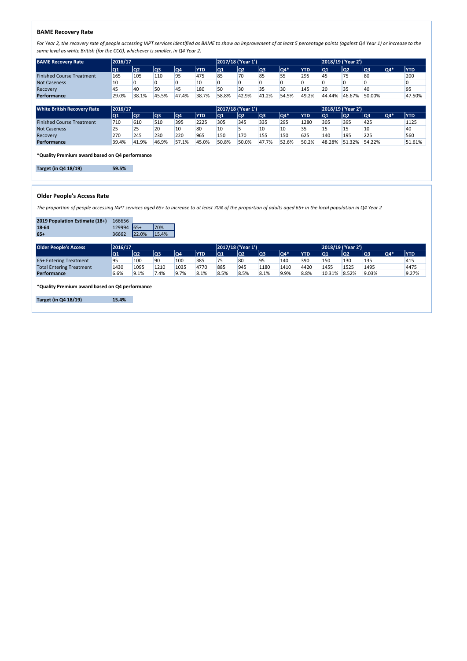### **BAME Recovery Rate**

**\*Quality Premium award based on Q4 performance**

**Target (in Q4 18/19) 59.5%**

### **Older People's Access Rate**

| 2019 Population Estimate (18+) 166656 |             |       |
|---------------------------------------|-------------|-------|
| 18-64                                 | 129994 65+  | 170%  |
| $65+$                                 | 36662 22.0% | 15.4% |

| <b>BAME Recovery Rate</b> | 2016/17 |       |       |       |            |            | 2017/18 ('Year 1') |       |               |            |            | 2018/19 ('Year 2') |        |     |            |  |
|---------------------------|---------|-------|-------|-------|------------|------------|--------------------|-------|---------------|------------|------------|--------------------|--------|-----|------------|--|
|                           | IQ1     | lQ2   | lQ3   | lQ4   | <b>YTD</b> | <u> Q1</u> | Q2                 | Q3    | $\sqrt{Q4^*}$ | <b>YTD</b> | <u> Q1</u> | Q2                 | lQ3    | Q4* | <b>YTD</b> |  |
| Finished Course Treatment | 165     | 105   | 110   | Q۵    | 475        |            | 70                 | 85    |               | 295        | 45         |                    | 80     |     | 200        |  |
| <b>Not Caseness</b>       | 10      |       |       |       | 10         |            |                    |       |               |            |            |                    |        |     |            |  |
| Recovery                  | 45      | 40    |       | 45    | 180        |            | 30                 |       | 30            | 145        | 20         |                    | 40     |     | 95         |  |
| <b>Performance</b>        | 29.0%   | 38.1% | 45.5% | 47.4% | 38.7%      | 58.8%      | 42.9%              | 41.2% | 54.5%         | 49.2%      | 44.44%     | 46.67%             | 50.00% |     | 47.50%     |  |

| <b>White British Recovery Rate</b> | 2016/17 |       |       |       |            | 2017/18 ('Year 1') |       |       |               |            | 2018/19 ('Year 2') |        |        |     |            |
|------------------------------------|---------|-------|-------|-------|------------|--------------------|-------|-------|---------------|------------|--------------------|--------|--------|-----|------------|
|                                    | lQ1     | Q2    | Q3    | Q4    | <b>YTD</b> | lQ1                | Q2    | lQ3   | $\sqrt{Q4^*}$ | <b>YTD</b> | <u> Q1</u>         | lQ2    | lQ3    | Q4* | <b>YTD</b> |
| <b>Finished Course Treatment</b>   | 710     | 610   | 510   | 395   | 2225       | 305                | 345   | 335   | 295           | 1280       | 305                | 395    | 425    |     | 1125       |
| <b>Not Caseness</b>                | 25      | 25    | 20    | 10    | 80         | 10                 |       | 10    | 10            | ر ر        |                    |        | 10     |     | 40         |
| Recovery                           | 270     | 245   | 230   | 220   | 965        | 150                | 170   | 155   | 150           | 625        | 140                | 195    | 225    |     | 560        |
| <b>Performance</b>                 | 39.4%   | 41.9% | 46.9% | 57.1% | 45.0%      | 150.8%             | 50.0% | 47.7% | 52.6%         | 50.2%      | 48.28%             | 51.32% | 54.22% |     | 51.61%     |

**\*Quality Premium award based on Q4 performance**

**Target (in Q4 18/19) 15.4%**

| <b>Older People's Access</b>    | 2016/17 |      |      |      |            | 2017/18 ('Year 1') |      |      |          |            | 2018/19 ('Year 2') |       |       |     |            |
|---------------------------------|---------|------|------|------|------------|--------------------|------|------|----------|------------|--------------------|-------|-------|-----|------------|
|                                 | Q1      | 1Q2  | lQ3  | lQ4  | <b>YTD</b> | lQ1                | lQ2  | lQ3  | $ QA^* $ | <b>YTD</b> | <u> Q1</u>         | Q2    | Q3    | Q4* | <b>YTD</b> |
| 65+ Entering Treatment          | 95      | 100  |      | 100  | 385        |                    | 80   | ۵ҕ   | 140      | 390        | 150                | 130   | 135   |     | 415        |
| <b>Total Entering Treatment</b> | 1430    | 1095 | 1210 | 1035 | 4770       | 885                | 945  | 1180 | 1410     | 4420       | 1455               | 1525  | 1495  |     | 4475       |
| <b>Performance</b>              | 6.6%    | 9.1% | 7.4% | 9.7% | 8.1%       | 8.5%               | 8.5% | 8.1% | 9.9%     | 8.8%       | 10.31%             | 8.52% | 9.03% |     | 9.27%      |

*For Year 2, the recovery rate of people accessing IAPT services identified as BAME to show an improvement of at least 5 percentage points (against Q4 Year 1) or increase to the same level as white British (for the CCG), whichever is smaller, in Q4 Year 2.*

*The proportion of people accessing IAPT services aged 65+ to increase to at least 70% of the proportion of adults aged 65+ in the local population in Q4 Year 2*